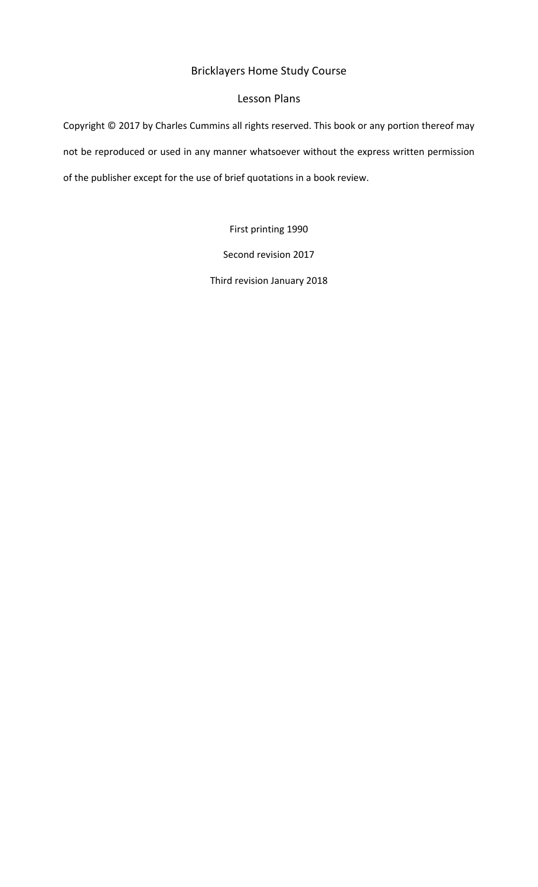# Bricklayers Home Study Course

# Lesson Plans

Copyright  $\oslash$  2017 by Charles Cummins all rights reserved. This book or any portion thereof may not be reproduced or used in any manner whatsoever without the express written permission of the publisher except for the use of brief quotations in a book review.

First printing 1990

Second revision 2017

Third revision January 2018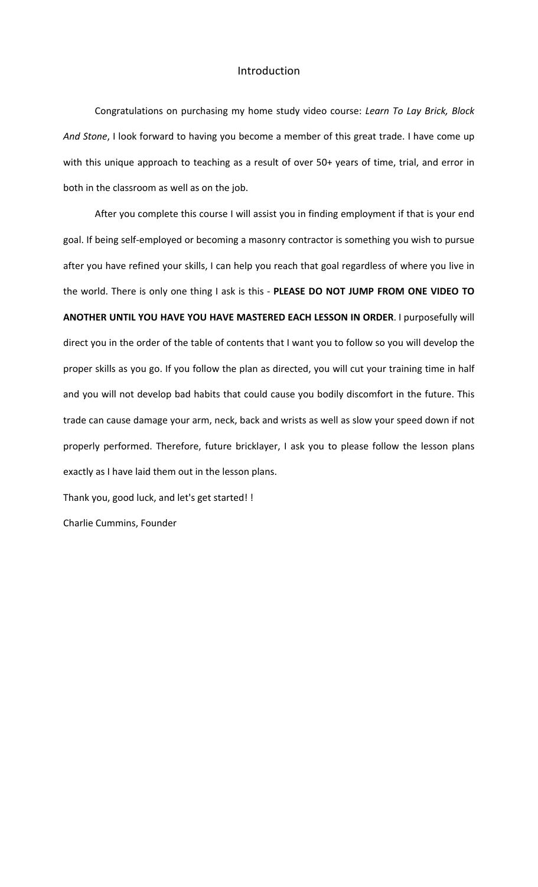## Introduction

Congratulations on purchasing my home study video course: Learn To Lay Brick, Block And Stone, I look forward to having you become a member of this great trade. I have come up with this unique approach to teaching as a result of over 50+ years of time, trial, and error in both in the classroom as well as on the job.

After you complete this course I will assist you in finding employment if that is your end goal. If being self-employed or becoming a masonry contractor is something you wish to pursue after you have refined your skills, I can help you reach that goal regardless of where you live in the world. There is only one thing I ask is this - PLEASE DO NOT JUMP FROM ONE VIDEO TO **ANOTHER UNTIL YOU HAVE YOU HAVE MASTERED EACH LESSON IN ORDER. I purposefully will** direct you in the order of the table of contents that I want you to follow so you will develop the proper skills as you go. If you follow the plan as directed, you will cut your training time in half and you will not develop bad habits that could cause you bodily discomfort in the future. This trade can cause damage your arm, neck, back and wrists as well as slow your speed down if not properly performed. Therefore, future bricklayer, I ask you to please follow the lesson plans exactly as I have laid them out in the lesson plans.

Thank you, good luck, and let's get started! !

Charlie Cummins, Founder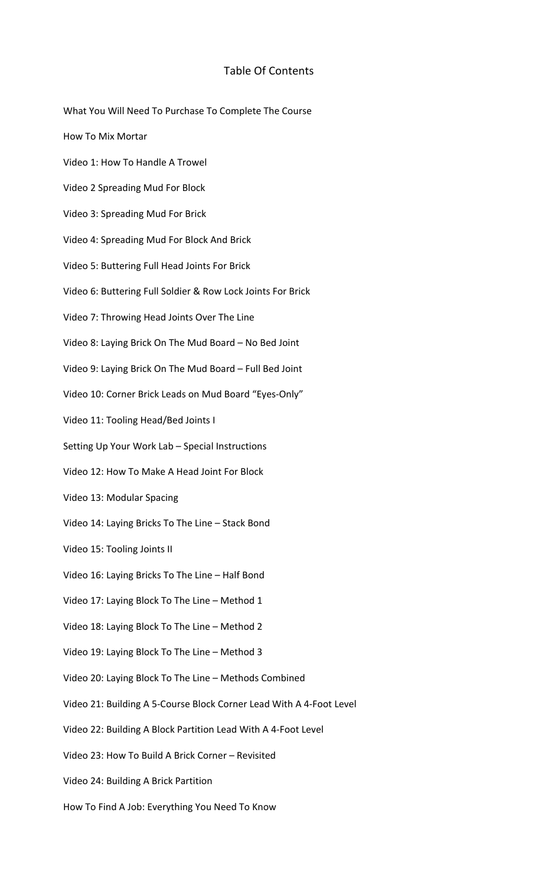# Table Of Contents

- What You Will Need To Purchase To Complete The Course How To Mix Mortar
- Video 1: How To Handle A Trowel
- Video 2 Spreading Mud For Block
- Video 3: Spreading Mud For Brick
- Video 4: Spreading Mud For Block And Brick
- Video 5: Buttering Full Head Joints For Brick
- Video 6: Buttering Full Soldier & Row Lock Joints For Brick
- Video 7: Throwing Head Joints Over The Line
- Video 8: Laying Brick On The Mud Board No Bed Joint
- Video 9: Laying Brick On The Mud Board Full Bed Joint
- Video 10: Corner Brick Leads on Mud Board "Eyes-Only"
- Video 11: Tooling Head/Bed Joints I
- Setting Up Your Work Lab Special Instructions
- Video 12: How To Make A Head Joint For Block
- Video 13: Modular Spacing
- Video 14: Laying Bricks To The Line Stack Bond
- Video 15: Tooling Joints II
- Video 16: Laying Bricks To The Line Half Bond
- Video 17: Laying Block To The Line Method 1
- Video 18: Laying Block To The Line Method 2
- Video 19: Laying Block To The Line Method 3
- Video 20: Laying Block To The Line Methods Combined
- Video 21: Building A 5-Course Block Corner Lead With A 4-Foot Level
- Video 22: Building A Block Partition Lead With A 4-Foot Level
- Video 23: How To Build A Brick Corner Revisited
- Video 24: Building A Brick Partition
- How To Find A Job: Everything You Need To Know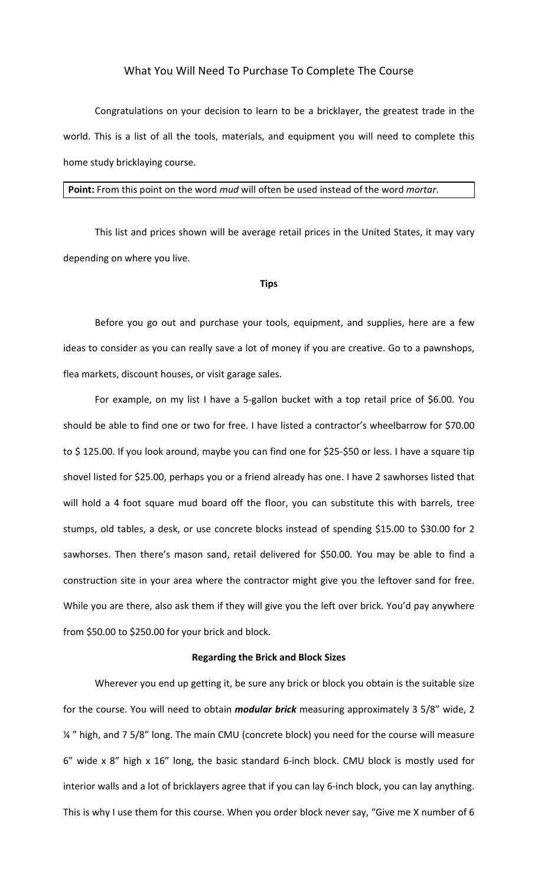## What You Will Need To Purchase To Complete The Course

Congratulations on your decision to learn to be a bricklayer, the greatest trade in the world. This is a list of all the tools, materials, and equipment you will need to complete this home study bricklaying course.

#### **Point:** From this point on the word *mud* will often be used instead of the word *mortar*.

This list and prices shown will be average retail prices in the United States, it may vary depending on where you live.

#### **Tips**

Before you go out and purchase your tools, equipment, and supplies, here are a few ideas to consider as you can really save a lot of money if you are creative. Go to a pawnshops, flea markets, discount houses, or visit garage sales.

For example, on my list I have a 5-gallon bucket with a top retail price of \$6.00. You should be able to find one or two for free. I have listed a contractor's wheelbarrow for \$70.00 to \$ 125.00. If you look around, maybe you can find one for \$25-\$50 or less. I have a square tip shovel listed for \$25.00, perhaps you or a friend already has one. I have 2 sawhorses listed that will hold a 4 foot square mud board off the floor, you can substitute this with barrels, tree stumps, old tables, a desk, or use concrete blocks instead of spending \$15.00 to \$30.00 for 2 sawhorses. Then there's mason sand, retail delivered for \$50.00. You may be able to find a construction site in your area where the contractor might give you the leftover sand for free. While you are there, also ask them if they will give you the left over brick. You'd pay anywhere from \$50.00 to \$250.00 for your brick and block.

#### **Regarding the Brick and Block Sizes**

Wherever you end up getting it, be sure any brick or block you obtain is the suitable size for the course. You will need to obtain *modular brick* measuring approximately 3 5/8" wide, 2 14" high, and 7 5/8" long. The main CMU (concrete block) you need for the course will measure 6" wide x 8" high x 16" long, the basic standard 6-inch block. CMU block is mostly used for interior walls and a lot of bricklayers agree that if you can lay 6-inch block, you can lay anything. This is why I use them for this course. When you order block never say, "Give me X number of 6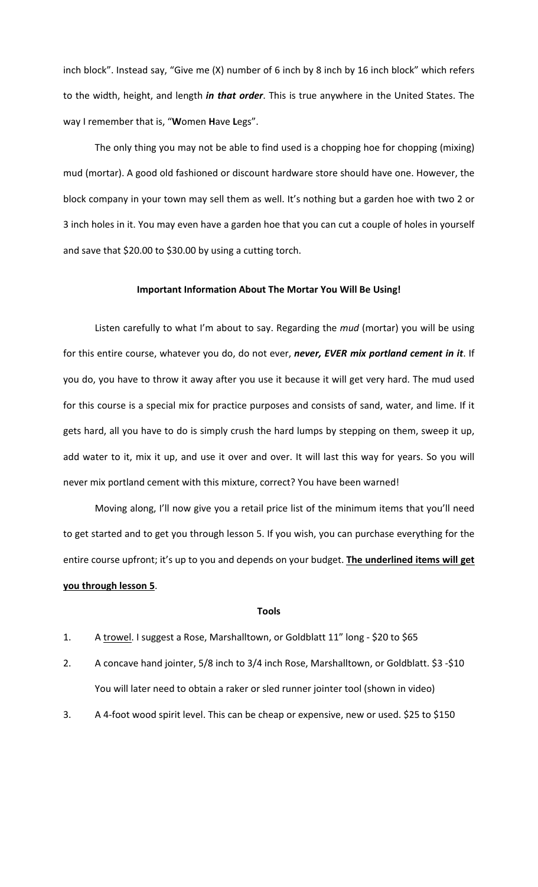inch block". Instead say, "Give me (X) number of 6 inch by 8 inch by 16 inch block" which refers to the width, height, and length *in that order*. This is true anywhere in the United States. The way I remember that is, "**W**omen **H**ave **L**egs".

The only thing you may not be able to find used is a chopping hoe for chopping (mixing) mud (mortar). A good old fashioned or discount hardware store should have one. However, the block company in your town may sell them as well. It's nothing but a garden hoe with two 2 or 3 inch holes in it. You may even have a garden hoe that you can cut a couple of holes in yourself and save that \$20.00 to \$30.00 by using a cutting torch.

## **Important Information About The Mortar You Will Be Using!**

Listen carefully to what I'm about to say. Regarding the *mud* (mortar) you will be using for this entire course, whatever you do, do not ever, never, EVER mix portland cement in it. If you do, you have to throw it away after you use it because it will get very hard. The mud used for this course is a special mix for practice purposes and consists of sand, water, and lime. If it gets hard, all you have to do is simply crush the hard lumps by stepping on them, sweep it up, add water to it, mix it up, and use it over and over. It will last this way for years. So you will never mix portland cement with this mixture, correct? You have been warned!

Moving along, I'll now give you a retail price list of the minimum items that you'll need to get started and to get you through lesson 5. If you wish, you can purchase everything for the entire course upfront; it's up to you and depends on your budget. The underlined items will get **you through lesson 5**.

### **Tools**

- 1. A trowel. I suggest a Rose, Marshalltown, or Goldblatt 11" long \$20 to \$65
- 2. A concave hand jointer, 5/8 inch to 3/4 inch Rose, Marshalltown, or Goldblatt. \$3 -\$10 You will later need to obtain a raker or sled runner jointer tool (shown in video)
- 3. A 4-foot wood spirit level. This can be cheap or expensive, new or used. \$25 to \$150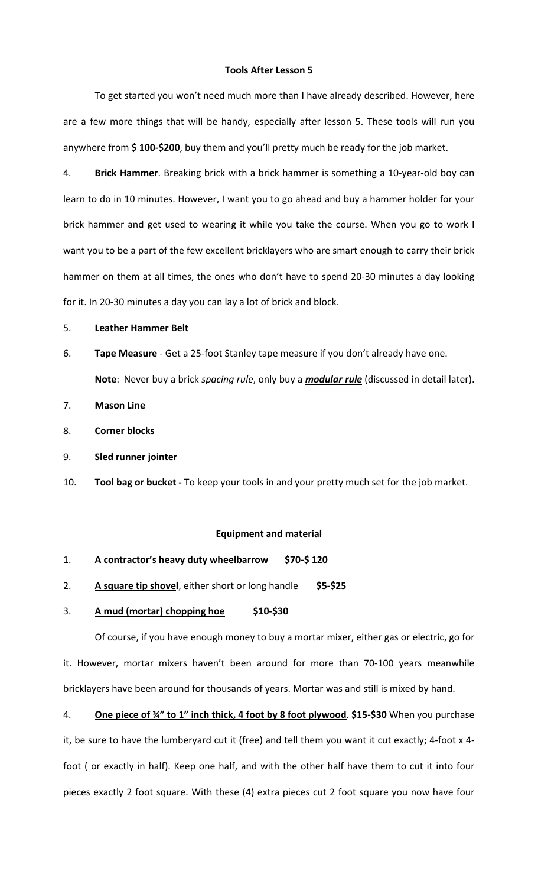#### **Tools After Lesson 5**

To get started you won't need much more than I have already described. However, here are a few more things that will be handy, especially after lesson 5. These tools will run you anywhere from \$100-\$200, buy them and you'll pretty much be ready for the job market.

4. **Brick Hammer**. Breaking brick with a brick hammer is something a 10-year-old boy can learn to do in 10 minutes. However, I want you to go ahead and buy a hammer holder for your brick hammer and get used to wearing it while you take the course. When you go to work I want you to be a part of the few excellent bricklayers who are smart enough to carry their brick hammer on them at all times, the ones who don't have to spend 20-30 minutes a day looking for it. In 20-30 minutes a day you can lay a lot of brick and block.

#### 5. **Leather Hammer Belt**

- 6. **Tape Measure** Get a 25-foot Stanley tape measure if you don't already have one. Note: Never buy a brick *spacing rule*, only buy a *modular rule* (discussed in detail later).
- 7. **Mason Line**
- 8. **Corner blocks**
- 9. **Sled runner jointer**
- 10. Tool bag or bucket To keep your tools in and your pretty much set for the job market.

#### **Equipment and material**

- 1. A contractor's heavy duty wheelbarrow \$70-\$120
- 2. **A square tip shovel**, either short or long handle \$5-\$25

## 3. **A** mud (mortar) chopping hoe \$10-\$30

Of course, if you have enough money to buy a mortar mixer, either gas or electric, go for it. However, mortar mixers haven't been around for more than 70-100 years meanwhile bricklayers have been around for thousands of years. Mortar was and still is mixed by hand.

4. **One piece of ¾" to 1" inch thick, 4 foot by 8 foot plywood**. **\$15-\$30** When you purchase it, be sure to have the lumberyard cut it (free) and tell them you want it cut exactly; 4-foot x 4foot ( or exactly in half). Keep one half, and with the other half have them to cut it into four pieces exactly 2 foot square. With these (4) extra pieces cut 2 foot square you now have four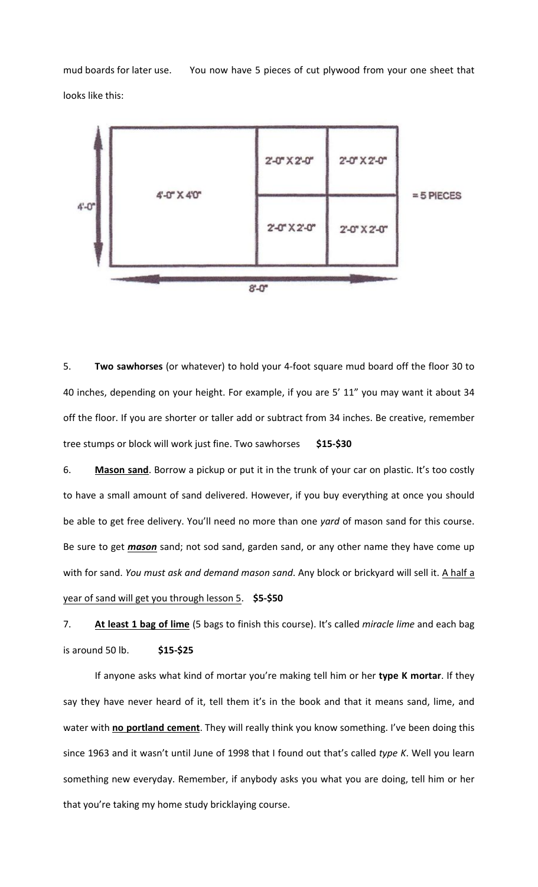mud boards for later use. You now have 5 pieces of cut plywood from your one sheet that looks like this:



5. **Two sawhorses** (or whatever) to hold your 4-foot square mud board off the floor 30 to 40 inches, depending on your height. For example, if you are 5' 11" you may want it about 34 off the floor. If you are shorter or taller add or subtract from 34 inches. Be creative, remember tree stumps or block will work just fine. Two sawhorses \$15-\$30

6. Mason sand. Borrow a pickup or put it in the trunk of your car on plastic. It's too costly to have a small amount of sand delivered. However, if you buy everything at once you should be able to get free delivery. You'll need no more than one yard of mason sand for this course. Be sure to get *mason* sand; not sod sand, garden sand, or any other name they have come up with for sand. *You must ask and demand mason sand*. Any block or brickyard will sell it. A half a year of sand will get you through lesson 5. \$5-\$50

7. **At least 1 bag of lime** (5 bags to finish this course). It's called *miracle lime* and each bag is around 50 lb. **\$15-\$25**

If anyone asks what kind of mortar you're making tell him or her type K mortar. If they say they have never heard of it, tell them it's in the book and that it means sand, lime, and water with no portland cement. They will really think you know something. I've been doing this since 1963 and it wasn't until June of 1998 that I found out that's called type K. Well you learn something new everyday. Remember, if anybody asks you what you are doing, tell him or her that you're taking my home study bricklaying course.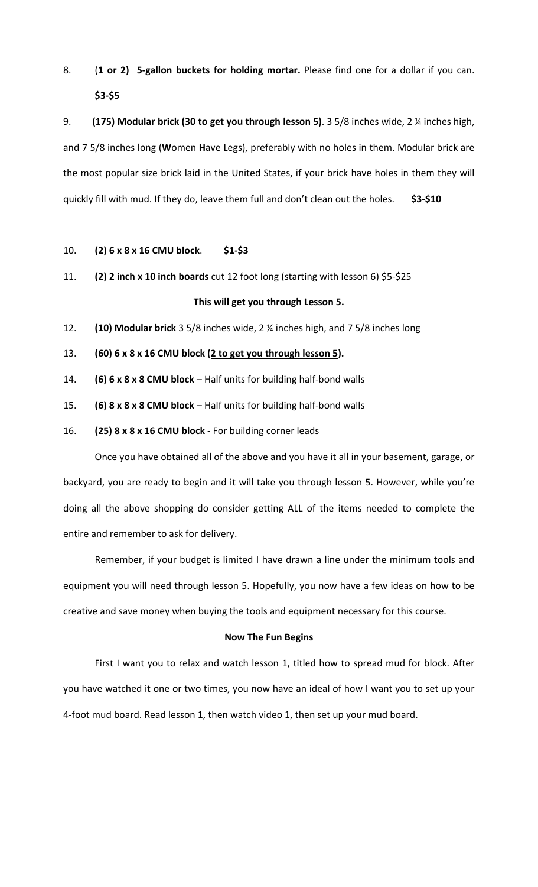8. (1 or 2) 5-gallon buckets for holding mortar. Please find one for a dollar if you can. **\$3-\$5**

9. **(175) Modular brick (30 to get you through lesson 5)**. 3 5/8 inches wide, 2 <sup>%</sup> inches high, and 7 5/8 inches long (Women Have Legs), preferably with no holes in them. Modular brick are the most popular size brick laid in the United States, if your brick have holes in them they will quickly fill with mud. If they do, leave them full and don't clean out the holes. \$3-\$10

## 10. **(2) 6 x 8 x 16 CMU block**. **\$1-\$3**

11. **(2) 2 inch x 10 inch boards** cut 12 foot long (starting with lesson 6) \$5-\$25

## This will get you through Lesson 5.

- 12. **(10) Modular brick** 3 5/8 inches wide, 2 ¼ inches high, and 7 5/8 inches long
- 13. **(60)** 6 x 8 x 16 CMU block (2 to get you through lesson 5).
- 14. **(6) 6 x 8 x 8 CMU block** Half units for building half-bond walls
- 15. **(6) 8 x 8 x 8 CMU block** Half units for building half-bond walls
- 16. **(25) 8 x 8 x 16 CMU block** For building corner leads

Once you have obtained all of the above and you have it all in your basement, garage, or backyard, you are ready to begin and it will take you through lesson 5. However, while you're doing all the above shopping do consider getting ALL of the items needed to complete the entire and remember to ask for delivery.

Remember, if your budget is limited I have drawn a line under the minimum tools and equipment you will need through lesson 5. Hopefully, you now have a few ideas on how to be creative and save money when buying the tools and equipment necessary for this course.

#### **Now The Fun Begins**

First I want you to relax and watch lesson 1, titled how to spread mud for block. After you have watched it one or two times, you now have an ideal of how I want you to set up your 4-foot mud board. Read lesson 1, then watch video 1, then set up your mud board.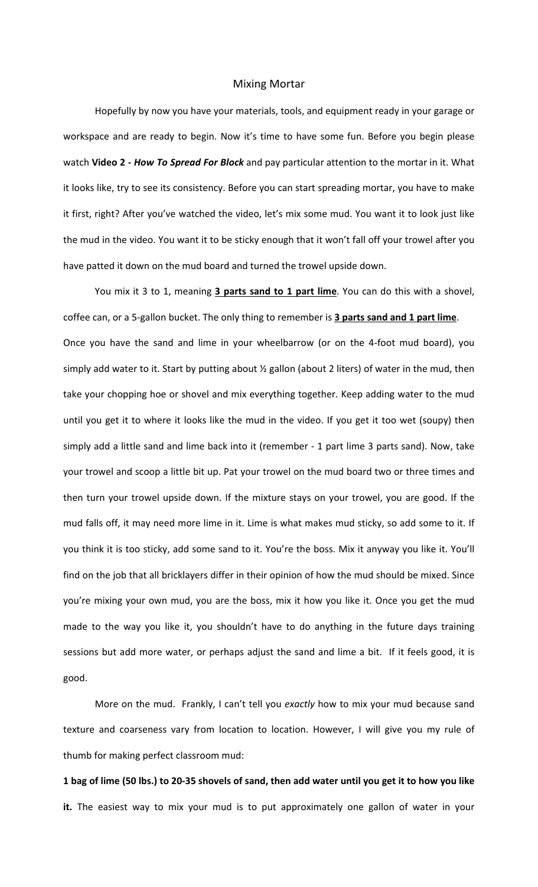## Mixing Mortar

Hopefully by now you have your materials, tools, and equipment ready in your garage or workspace and are ready to begin. Now it's time to have some fun. Before you begin please watch Video 2 - How To Spread For Block and pay particular attention to the mortar in it. What it looks like, try to see its consistency. Before you can start spreading mortar, you have to make it first, right? After you've watched the video, let's mix some mud. You want it to look just like the mud in the video. You want it to be sticky enough that it won't fall off your trowel after you have patted it down on the mud board and turned the trowel upside down.

You mix it 3 to 1, meaning 3 parts sand to 1 part lime. You can do this with a shovel, coffee can, or a 5-gallon bucket. The only thing to remember is 3 parts sand and 1 part lime. Once you have the sand and lime in your wheelbarrow (or on the 4-foot mud board), you simply add water to it. Start by putting about  $\frac{1}{2}$  gallon (about 2 liters) of water in the mud, then take your chopping hoe or shovel and mix everything together. Keep adding water to the mud until you get it to where it looks like the mud in the video. If you get it too wet (soupy) then simply add a little sand and lime back into it (remember - 1 part lime 3 parts sand). Now, take your trowel and scoop a little bit up. Pat your trowel on the mud board two or three times and then turn your trowel upside down. If the mixture stays on your trowel, you are good. If the mud falls off, it may need more lime in it. Lime is what makes mud sticky, so add some to it. If you think it is too sticky, add some sand to it. You're the boss. Mix it anyway you like it. You'll find on the job that all bricklayers differ in their opinion of how the mud should be mixed. Since you're mixing your own mud, you are the boss, mix it how you like it. Once you get the mud made to the way you like it, you shouldn't have to do anything in the future days training sessions but add more water, or perhaps adjust the sand and lime a bit. If it feels good, it is good.

More on the mud. Frankly, I can't tell you exactly how to mix your mud because sand texture and coarseness vary from location to location. However, I will give you my rule of thumb for making perfect classroom mud:

1 bag of lime (50 lbs.) to 20-35 shovels of sand, then add water until you get it to how you like **it.** The easiest way to mix your mud is to put approximately one gallon of water in your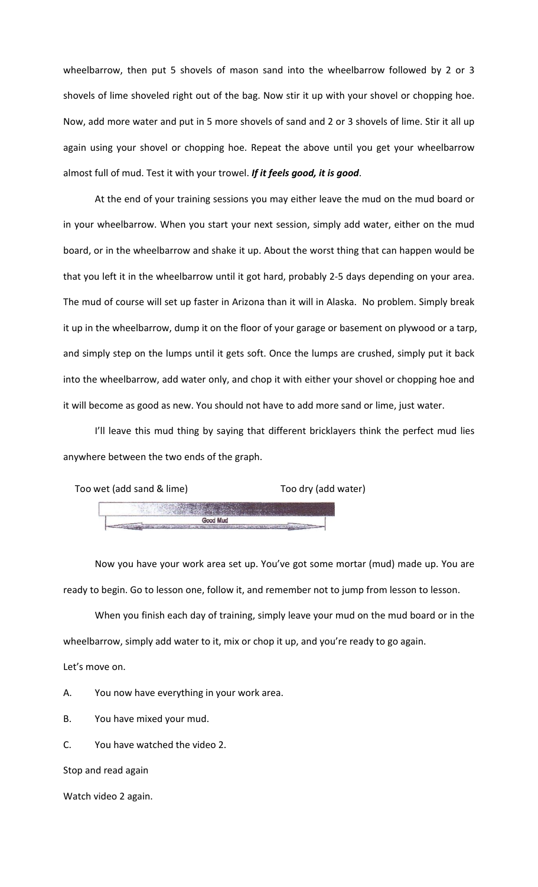wheelbarrow, then put 5 shovels of mason sand into the wheelbarrow followed by 2 or 3 shovels of lime shoveled right out of the bag. Now stir it up with your shovel or chopping hoe. Now, add more water and put in 5 more shovels of sand and 2 or 3 shovels of lime. Stir it all up again using your shovel or chopping hoe. Repeat the above until you get your wheelbarrow almost full of mud. Test it with your trowel. If it feels good, it is good.

At the end of your training sessions you may either leave the mud on the mud board or in your wheelbarrow. When you start your next session, simply add water, either on the mud board, or in the wheelbarrow and shake it up. About the worst thing that can happen would be that you left it in the wheelbarrow until it got hard, probably 2-5 days depending on your area. The mud of course will set up faster in Arizona than it will in Alaska. No problem. Simply break it up in the wheelbarrow, dump it on the floor of your garage or basement on plywood or a tarp, and simply step on the lumps until it gets soft. Once the lumps are crushed, simply put it back into the wheelbarrow, add water only, and chop it with either your shovel or chopping hoe and it will become as good as new. You should not have to add more sand or lime, just water.

I'll leave this mud thing by saying that different bricklayers think the perfect mud lies anywhere between the two ends of the graph.



Now you have your work area set up. You've got some mortar (mud) made up. You are ready to begin. Go to lesson one, follow it, and remember not to jump from lesson to lesson.

When you finish each day of training, simply leave your mud on the mud board or in the wheelbarrow, simply add water to it, mix or chop it up, and you're ready to go again.

Let's move on.

A. You now have everything in your work area.

B. You have mixed your mud.

C. You have watched the video 2.

Stop and read again

Watch video 2 again.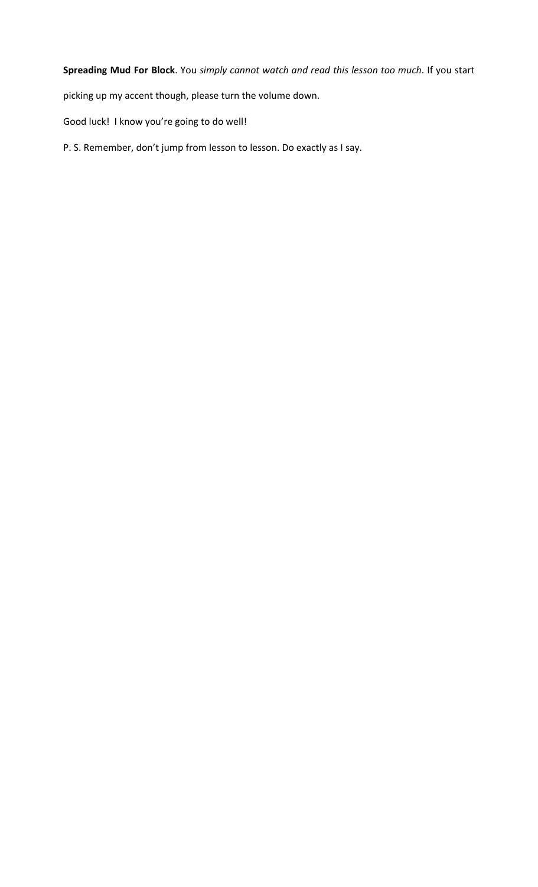Spreading Mud For Block. You simply cannot watch and read this lesson too much. If you start

picking up my accent though, please turn the volume down.

Good luck! I know you're going to do well!

P. S. Remember, don't jump from lesson to lesson. Do exactly as I say.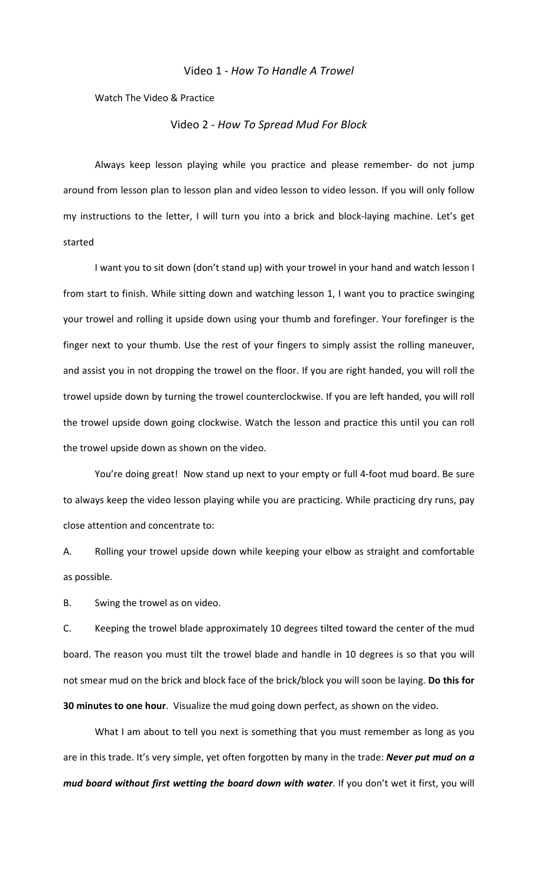## Video 1 - *How To Handle A Trowel*

Watch The Video & Practice

## Video 2 - *How To Spread Mud For Block*

Always keep lesson playing while you practice and please remember- do not jump around from lesson plan to lesson plan and video lesson to video lesson. If you will only follow my instructions to the letter, I will turn you into a brick and block-laying machine. Let's get started

I want you to sit down (don't stand up) with your trowel in your hand and watch lesson I from start to finish. While sitting down and watching lesson 1, I want you to practice swinging your trowel and rolling it upside down using your thumb and forefinger. Your forefinger is the finger next to your thumb. Use the rest of your fingers to simply assist the rolling maneuver, and assist you in not dropping the trowel on the floor. If you are right handed, you will roll the trowel upside down by turning the trowel counterclockwise. If you are left handed, you will roll the trowel upside down going clockwise. Watch the lesson and practice this until you can roll the trowel upside down as shown on the video.

You're doing great! Now stand up next to your empty or full 4-foot mud board. Be sure to always keep the video lesson playing while you are practicing. While practicing dry runs, pay close attention and concentrate to:

A. Rolling your trowel upside down while keeping your elbow as straight and comfortable as possible.

B. Swing the trowel as on video.

C. Keeping the trowel blade approximately 10 degrees tilted toward the center of the mud board. The reason you must tilt the trowel blade and handle in 10 degrees is so that you will not smear mud on the brick and block face of the brick/block you will soon be laying. Do this for **30 minutes to one hour**. Visualize the mud going down perfect, as shown on the video.

What I am about to tell you next is something that you must remember as long as you are in this trade. It's very simple, yet often forgotten by many in the trade: **Never put mud on a** *mud board without first wetting the board down with water*. If you don't wet it first, you will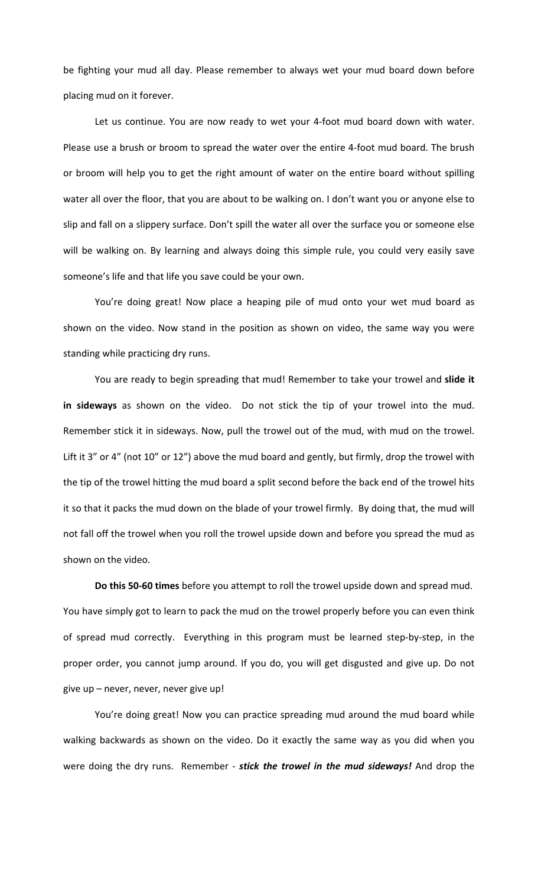be fighting your mud all day. Please remember to always wet your mud board down before placing mud on it forever.

Let us continue. You are now ready to wet your 4-foot mud board down with water. Please use a brush or broom to spread the water over the entire 4-foot mud board. The brush or broom will help you to get the right amount of water on the entire board without spilling water all over the floor, that you are about to be walking on. I don't want you or anyone else to slip and fall on a slippery surface. Don't spill the water all over the surface you or someone else will be walking on. By learning and always doing this simple rule, you could very easily save someone's life and that life you save could be your own.

You're doing great! Now place a heaping pile of mud onto your wet mud board as shown on the video. Now stand in the position as shown on video, the same way you were standing while practicing dry runs.

You are ready to begin spreading that mud! Remember to take your trowel and slide it in sideways as shown on the video. Do not stick the tip of your trowel into the mud. Remember stick it in sideways. Now, pull the trowel out of the mud, with mud on the trowel. Lift it 3" or 4" (not 10" or 12") above the mud board and gently, but firmly, drop the trowel with the tip of the trowel hitting the mud board a split second before the back end of the trowel hits it so that it packs the mud down on the blade of your trowel firmly. By doing that, the mud will not fall off the trowel when you roll the trowel upside down and before you spread the mud as shown on the video.

Do this 50-60 times before you attempt to roll the trowel upside down and spread mud. You have simply got to learn to pack the mud on the trowel properly before you can even think of spread mud correctly. Everything in this program must be learned step-by-step, in the proper order, you cannot jump around. If you do, you will get disgusted and give up. Do not give  $up$  – never, never, never give  $up!$ 

You're doing great! Now you can practice spreading mud around the mud board while walking backwards as shown on the video. Do it exactly the same way as you did when you were doing the dry runs. Remember - *stick the trowel in the mud sideways!* And drop the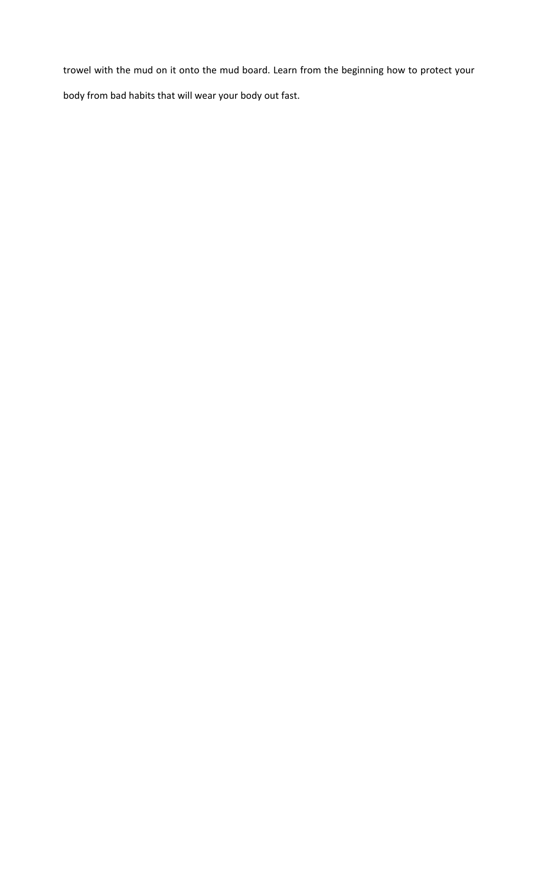trowel with the mud on it onto the mud board. Learn from the beginning how to protect your body from bad habits that will wear your body out fast.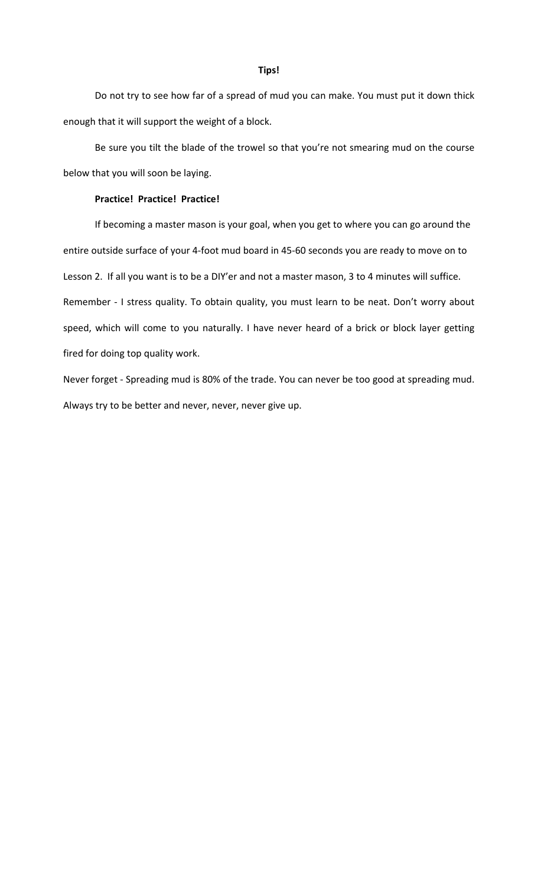Do not try to see how far of a spread of mud you can make. You must put it down thick enough that it will support the weight of a block.

Be sure you tilt the blade of the trowel so that you're not smearing mud on the course below that you will soon be laying.

## **Practice! Practice! Practice!**

If becoming a master mason is your goal, when you get to where you can go around the entire outside surface of your 4-foot mud board in 45-60 seconds you are ready to move on to Lesson 2. If all you want is to be a DIY'er and not a master mason, 3 to 4 minutes will suffice. Remember - I stress quality. To obtain quality, you must learn to be neat. Don't worry about speed, which will come to you naturally. I have never heard of a brick or block layer getting fired for doing top quality work.

Never forget - Spreading mud is 80% of the trade. You can never be too good at spreading mud. Always try to be better and never, never, never give up.

## **Tips!**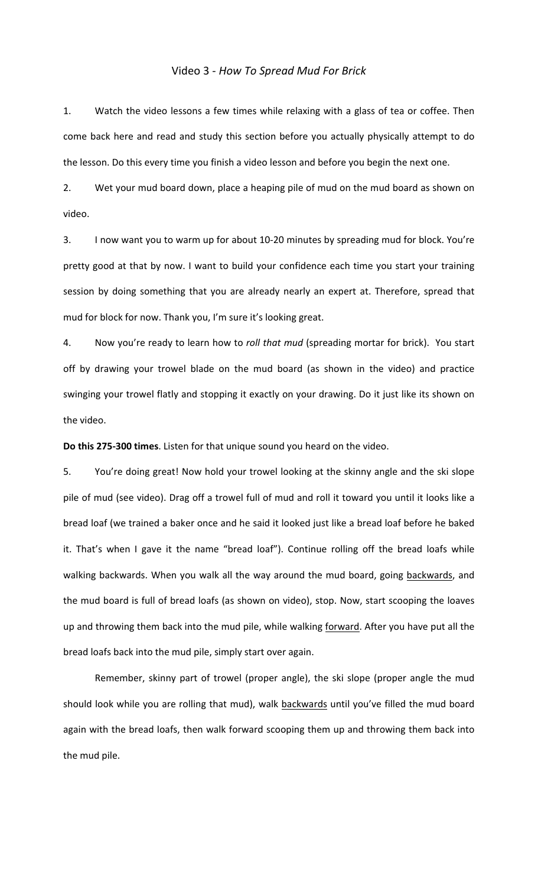## Video 3 - *How To Spread Mud For Brick*

1. Watch the video lessons a few times while relaxing with a glass of tea or coffee. Then come back here and read and study this section before you actually physically attempt to do the lesson. Do this every time you finish a video lesson and before you begin the next one.

2. Wet your mud board down, place a heaping pile of mud on the mud board as shown on video.

3. I now want you to warm up for about 10-20 minutes by spreading mud for block. You're pretty good at that by now. I want to build your confidence each time you start your training session by doing something that you are already nearly an expert at. Therefore, spread that mud for block for now. Thank you, I'm sure it's looking great.

4. Now you're ready to learn how to *roll that mud* (spreading mortar for brick). You start off by drawing your trowel blade on the mud board (as shown in the video) and practice swinging your trowel flatly and stopping it exactly on your drawing. Do it just like its shown on the video.

**Do this 275-300 times**. Listen for that unique sound you heard on the video.

5. You're doing great! Now hold your trowel looking at the skinny angle and the ski slope pile of mud (see video). Drag off a trowel full of mud and roll it toward you until it looks like a bread loaf (we trained a baker once and he said it looked just like a bread loaf before he baked it. That's when I gave it the name "bread loaf"). Continue rolling off the bread loafs while walking backwards. When you walk all the way around the mud board, going backwards, and the mud board is full of bread loafs (as shown on video), stop. Now, start scooping the loaves up and throwing them back into the mud pile, while walking forward. After you have put all the bread loafs back into the mud pile, simply start over again.

Remember, skinny part of trowel (proper angle), the ski slope (proper angle the mud should look while you are rolling that mud), walk backwards until you've filled the mud board again with the bread loafs, then walk forward scooping them up and throwing them back into the mud pile.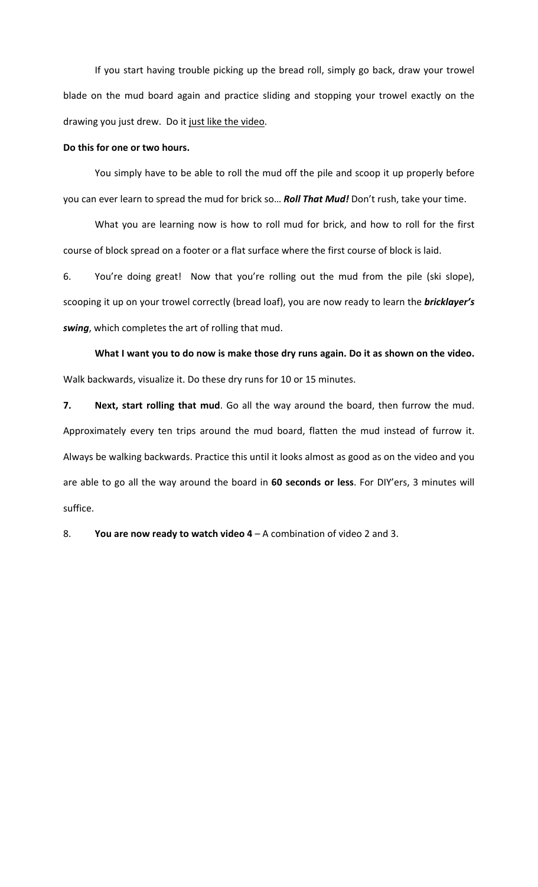If you start having trouble picking up the bread roll, simply go back, draw your trowel blade on the mud board again and practice sliding and stopping your trowel exactly on the drawing you just drew. Do it just like the video.

### Do this for one or two hours.

You simply have to be able to roll the mud off the pile and scoop it up properly before you can ever learn to spread the mud for brick so... Roll That Mud! Don't rush, take your time.

What you are learning now is how to roll mud for brick, and how to roll for the first course of block spread on a footer or a flat surface where the first course of block is laid.

6. You're doing great! Now that you're rolling out the mud from the pile (ski slope), scooping it up on your trowel correctly (bread loaf), you are now ready to learn the **bricklayer's** swing, which completes the art of rolling that mud.

What I want you to do now is make those dry runs again. Do it as shown on the video. Walk backwards, visualize it. Do these dry runs for 10 or 15 minutes.

**7.** Next, start rolling that mud. Go all the way around the board, then furrow the mud. Approximately every ten trips around the mud board, flatten the mud instead of furrow it. Always be walking backwards. Practice this until it looks almost as good as on the video and you are able to go all the way around the board in 60 seconds or less. For DIY'ers, 3 minutes will suffice.

8. **You are now ready to watch video 4** – A combination of video 2 and 3.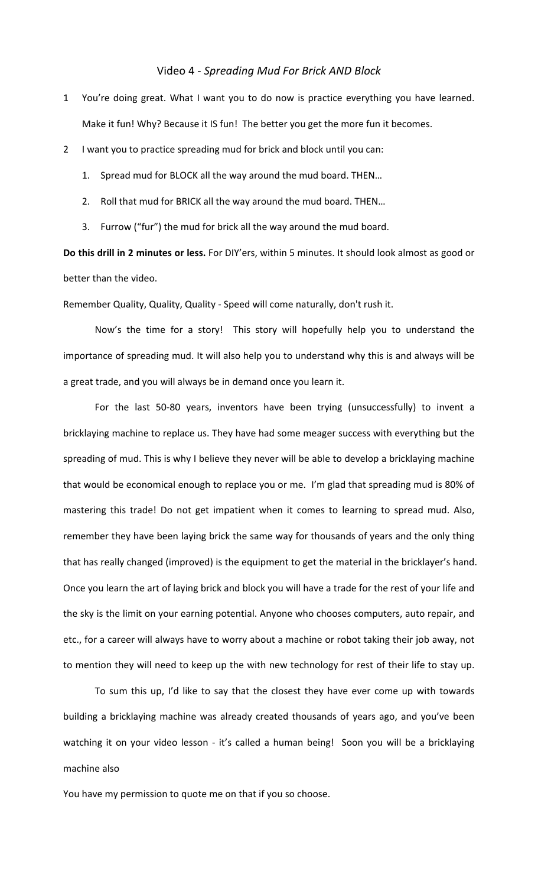## Video 4 - *Spreading Mud For Brick AND Block*

- 1 You're doing great. What I want you to do now is practice everything you have learned. Make it fun! Why? Because it IS fun! The better you get the more fun it becomes.
- 2 I want you to practice spreading mud for brick and block until you can:
	- 1. Spread mud for BLOCK all the way around the mud board. THEN...
	- 2. Roll that mud for BRICK all the way around the mud board. THEN...
	- 3. Furrow ("fur") the mud for brick all the way around the mud board.

**Do this drill in 2 minutes or less.** For DIY'ers, within 5 minutes. It should look almost as good or better than the video.

Remember Quality, Quality, Quality - Speed will come naturally, don't rush it.

Now's the time for a story! This story will hopefully help you to understand the importance of spreading mud. It will also help you to understand why this is and always will be a great trade, and you will always be in demand once you learn it.

For the last 50-80 years, inventors have been trying (unsuccessfully) to invent a bricklaying machine to replace us. They have had some meager success with everything but the spreading of mud. This is why I believe they never will be able to develop a bricklaying machine that would be economical enough to replace you or me. I'm glad that spreading mud is 80% of mastering this trade! Do not get impatient when it comes to learning to spread mud. Also, remember they have been laying brick the same way for thousands of years and the only thing that has really changed (improved) is the equipment to get the material in the bricklayer's hand. Once you learn the art of laying brick and block you will have a trade for the rest of your life and the sky is the limit on your earning potential. Anyone who chooses computers, auto repair, and etc., for a career will always have to worry about a machine or robot taking their job away, not to mention they will need to keep up the with new technology for rest of their life to stay up.

To sum this up, I'd like to say that the closest they have ever come up with towards building a bricklaying machine was already created thousands of years ago, and you've been watching it on your video lesson - it's called a human being! Soon you will be a bricklaying machine also

You have my permission to quote me on that if you so choose.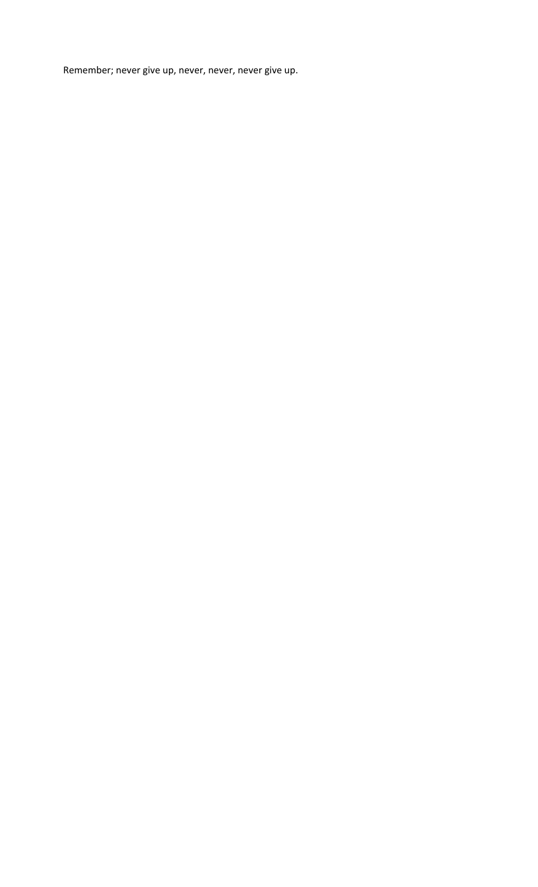Remember; never give up, never, never, never give up.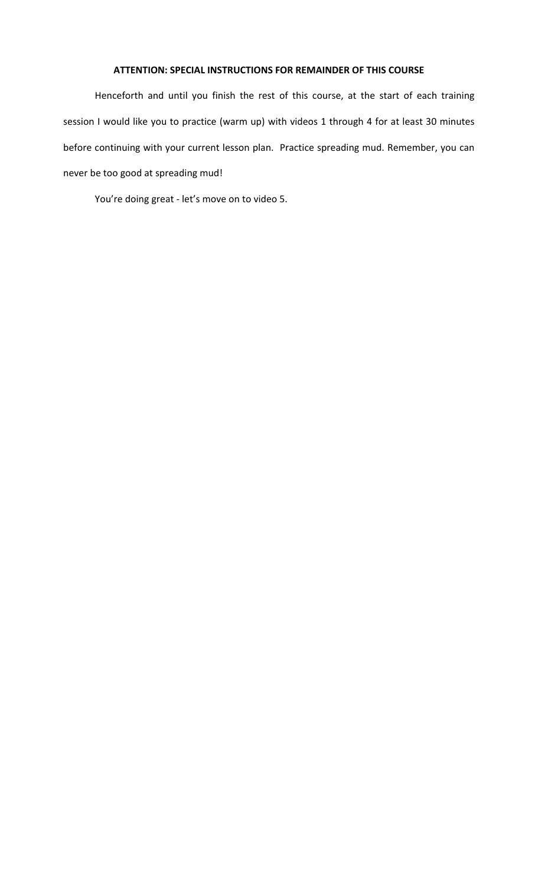## **ATTENTION: SPECIAL INSTRUCTIONS FOR REMAINDER OF THIS COURSE**

Henceforth and until you finish the rest of this course, at the start of each training session I would like you to practice (warm up) with videos 1 through 4 for at least 30 minutes before continuing with your current lesson plan. Practice spreading mud. Remember, you can never be too good at spreading mud!

You're doing great - let's move on to video 5.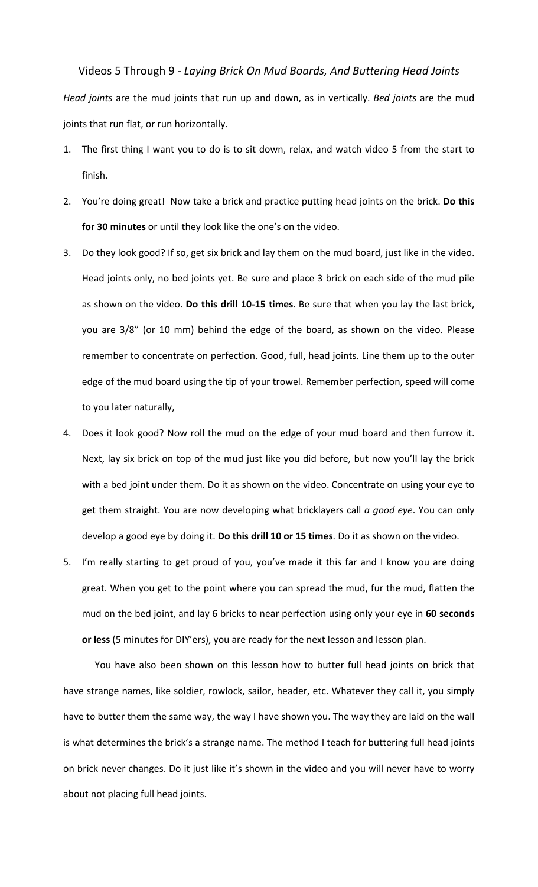Videos 5 Through 9 - *Laying Brick On Mud Boards, And Buttering Head Joints Head joints* are the mud joints that run up and down, as in vertically. *Bed joints* are the mud joints that run flat, or run horizontally.

- The first thing I want you to do is to sit down, relax, and watch video 5 from the start to finish.
- 2. You're doing great! Now take a brick and practice putting head joints on the brick. Do this **for 30 minutes** or until they look like the one's on the video.
- 3. Do they look good? If so, get six brick and lay them on the mud board, just like in the video. Head joints only, no bed joints yet. Be sure and place 3 brick on each side of the mud pile as shown on the video. Do this drill 10-15 times. Be sure that when you lay the last brick, you are 3/8" (or 10 mm) behind the edge of the board, as shown on the video. Please remember to concentrate on perfection. Good, full, head joints. Line them up to the outer edge of the mud board using the tip of your trowel. Remember perfection, speed will come to you later naturally,
- 4. Does it look good? Now roll the mud on the edge of your mud board and then furrow it. Next, lay six brick on top of the mud just like you did before, but now you'll lay the brick with a bed joint under them. Do it as shown on the video. Concentrate on using your eye to get them straight. You are now developing what bricklayers call *a good eye*. You can only develop a good eye by doing it. Do this drill 10 or 15 times. Do it as shown on the video.
- 5. I'm really starting to get proud of you, you've made it this far and I know you are doing great. When you get to the point where you can spread the mud, fur the mud, flatten the mud on the bed joint, and lay 6 bricks to near perfection using only your eye in 60 seconds or less (5 minutes for DIY'ers), you are ready for the next lesson and lesson plan.

You have also been shown on this lesson how to butter full head joints on brick that have strange names, like soldier, rowlock, sailor, header, etc. Whatever they call it, you simply have to butter them the same way, the way I have shown you. The way they are laid on the wall is what determines the brick's a strange name. The method I teach for buttering full head joints on brick never changes. Do it just like it's shown in the video and you will never have to worry about not placing full head joints.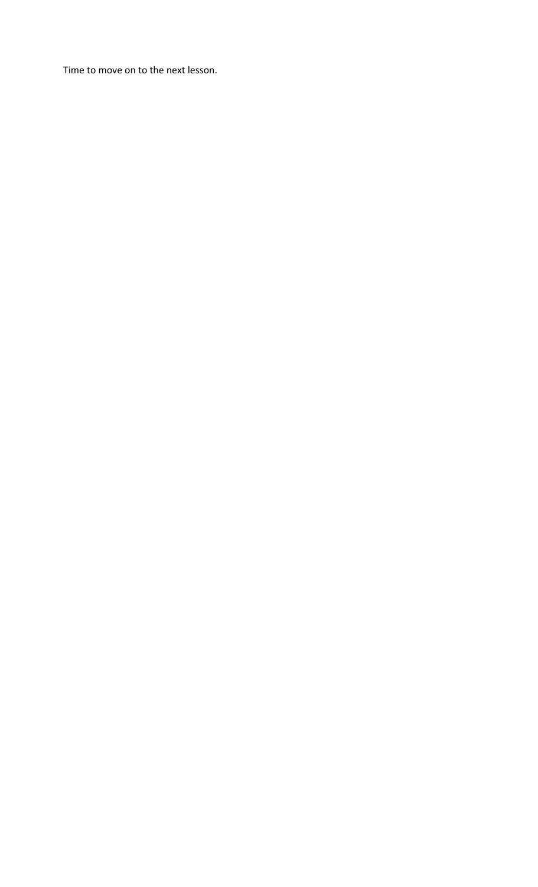Time to move on to the next lesson.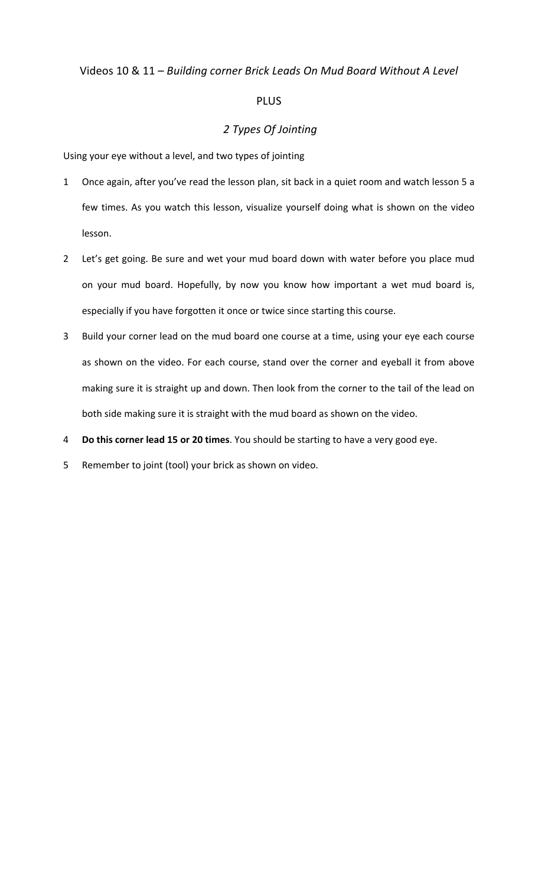# Videos 10 & 11 – *Building corner Brick Leads On Mud Board Without A Level*

# PLUS

# *2 Types Of Jointing*

Using your eye without a level, and two types of jointing

- 1 Once again, after you've read the lesson plan, sit back in a quiet room and watch lesson 5 a few times. As you watch this lesson, visualize yourself doing what is shown on the video lesson.
- 2 Let's get going. Be sure and wet your mud board down with water before you place mud on your mud board. Hopefully, by now you know how important a wet mud board is, especially if you have forgotten it once or twice since starting this course.
- 3 Build your corner lead on the mud board one course at a time, using your eye each course as shown on the video. For each course, stand over the corner and eyeball it from above making sure it is straight up and down. Then look from the corner to the tail of the lead on both side making sure it is straight with the mud board as shown on the video.
- 4 **Do this corner lead 15 or 20 times**. You should be starting to have a very good eye.
- 5 Remember to joint (tool) your brick as shown on video.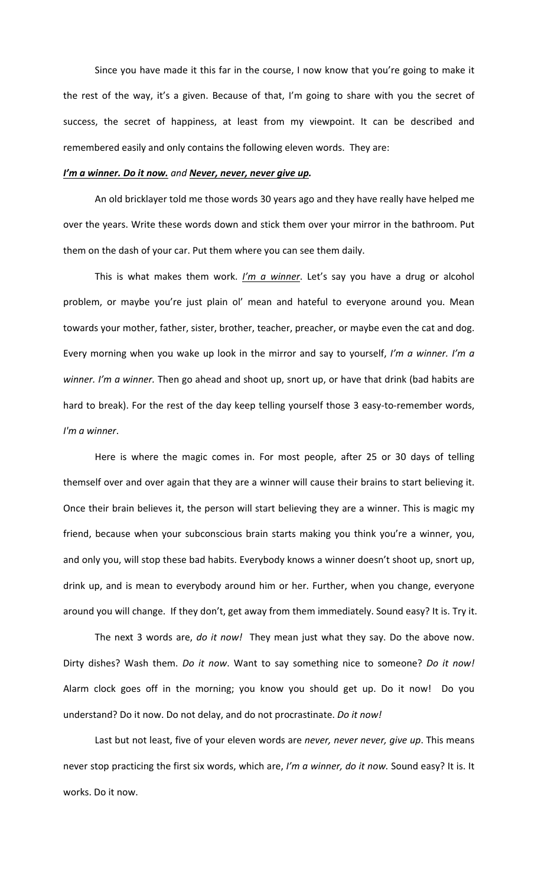Since you have made it this far in the course, I now know that you're going to make it the rest of the way, it's a given. Because of that, I'm going to share with you the secret of success, the secret of happiness, at least from my viewpoint. It can be described and remembered easily and only contains the following eleven words. They are:

## I'm a winner. Do it now. and Never, never, never give up.

An old bricklayer told me those words 30 years ago and they have really have helped me over the years. Write these words down and stick them over your mirror in the bathroom. Put them on the dash of your car. Put them where you can see them daily.

This is what makes them work. *I'm a winner*. Let's say you have a drug or alcohol problem, or maybe you're just plain ol' mean and hateful to everyone around you. Mean towards your mother, father, sister, brother, teacher, preacher, or maybe even the cat and dog. Every morning when you wake up look in the mirror and say to yourself, *I'm a winner. I'm a* winner. I'm a winner. Then go ahead and shoot up, snort up, or have that drink (bad habits are hard to break). For the rest of the day keep telling yourself those 3 easy-to-remember words, *I'm a winner*.

Here is where the magic comes in. For most people, after 25 or 30 days of telling themself over and over again that they are a winner will cause their brains to start believing it. Once their brain believes it, the person will start believing they are a winner. This is magic my friend, because when your subconscious brain starts making you think you're a winner, you, and only you, will stop these bad habits. Everybody knows a winner doesn't shoot up, snort up, drink up, and is mean to everybody around him or her. Further, when you change, everyone around you will change. If they don't, get away from them immediately. Sound easy? It is. Try it.

The next 3 words are, *do it now!* They mean just what they say. Do the above now. Dirty dishes? Wash them. *Do it now*. Want to say something nice to someone? *Do it now!* Alarm clock goes off in the morning; you know you should get up. Do it now! Do you understand? Do it now. Do not delay, and do not procrastinate. *Do it now!* 

Last but not least, five of your eleven words are never, never never, give up. This means never stop practicing the first six words, which are, I'm a winner, do it now. Sound easy? It is. It works. Do it now.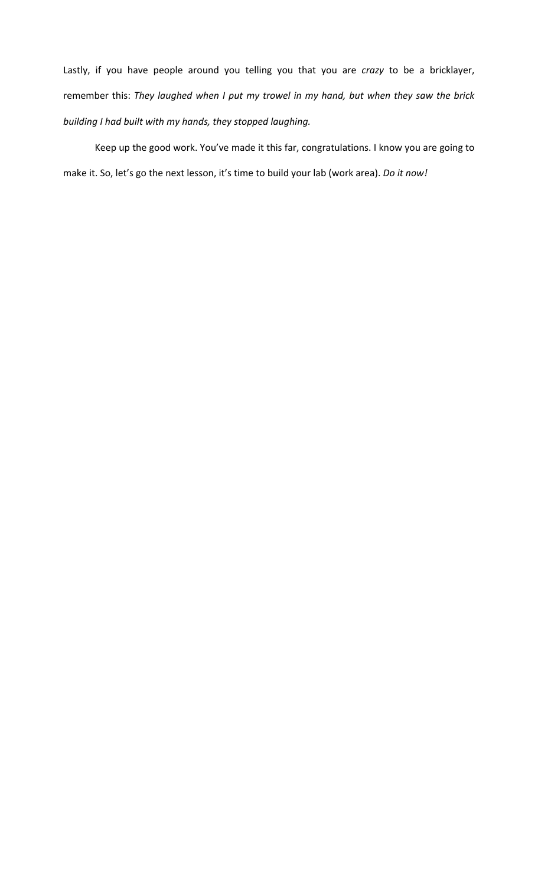Lastly, if you have people around you telling you that you are *crazy* to be a bricklayer, remember this: They laughed when I put my trowel in my hand, but when they saw the brick *building* I had built with my hands, they stopped laughing.

Keep up the good work. You've made it this far, congratulations. I know you are going to make it. So, let's go the next lesson, it's time to build your lab (work area). *Do it now!*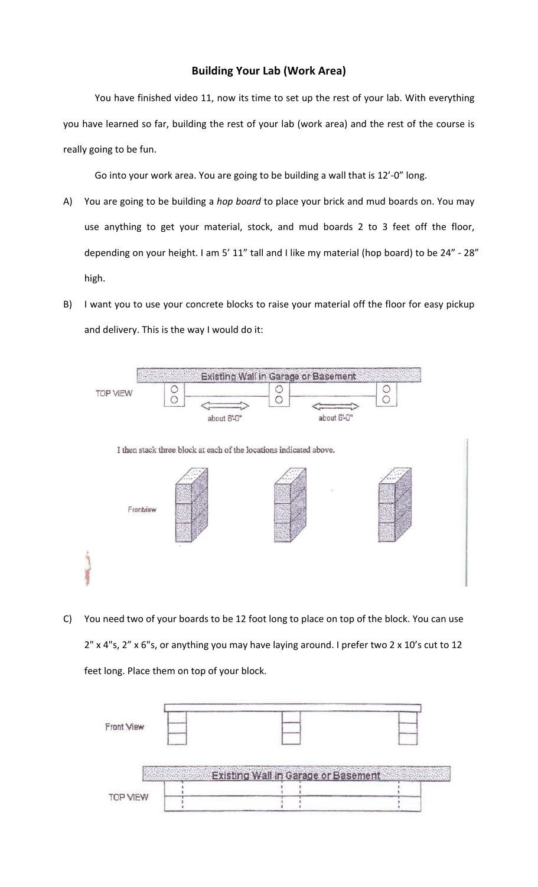# **Building Your Lab (Work Area)**

You have finished video 11, now its time to set up the rest of your lab. With everything you have learned so far, building the rest of your lab (work area) and the rest of the course is really going to be fun.

Go into your work area. You are going to be building a wall that is 12'-0" long.

- A) You are going to be building a *hop board* to place your brick and mud boards on. You may use anything to get your material, stock, and mud boards 2 to 3 feet off the floor, depending on your height. I am 5' 11" tall and I like my material (hop board) to be  $24"$  - 28" high.
- B) I want you to use your concrete blocks to raise your material off the floor for easy pickup and delivery. This is the way I would do it:



C) You need two of your boards to be 12 foot long to place on top of the block. You can use 2" x 4"s, 2" x 6"s, or anything you may have laying around. I prefer two 2 x 10's cut to 12 feet long. Place them on top of your block.

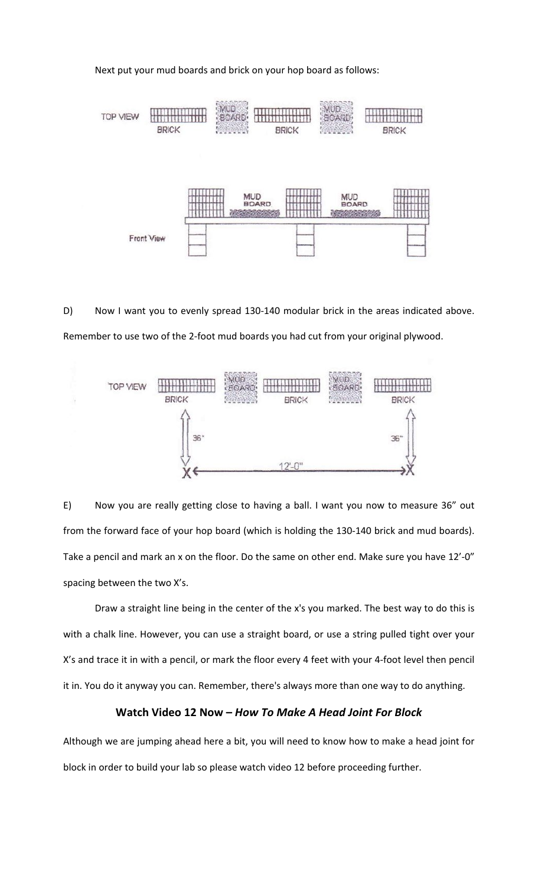Next put your mud boards and brick on your hop board as follows:



D) Now I want you to evenly spread 130-140 modular brick in the areas indicated above. Remember to use two of the 2-foot mud boards you had cut from your original plywood.



E) Now you are really getting close to having a ball. I want you now to measure 36" out from the forward face of your hop board (which is holding the 130-140 brick and mud boards). Take a pencil and mark an x on the floor. Do the same on other end. Make sure you have 12'-0" spacing between the two X's.

Draw a straight line being in the center of the x's you marked. The best way to do this is with a chalk line. However, you can use a straight board, or use a string pulled tight over your X's and trace it in with a pencil, or mark the floor every 4 feet with your 4-foot level then pencil it in. You do it anyway you can. Remember, there's always more than one way to do anything.

## **Watch Video 12 Now –** *How To Make A Head Joint For Block*

Although we are jumping ahead here a bit, you will need to know how to make a head joint for block in order to build your lab so please watch video 12 before proceeding further.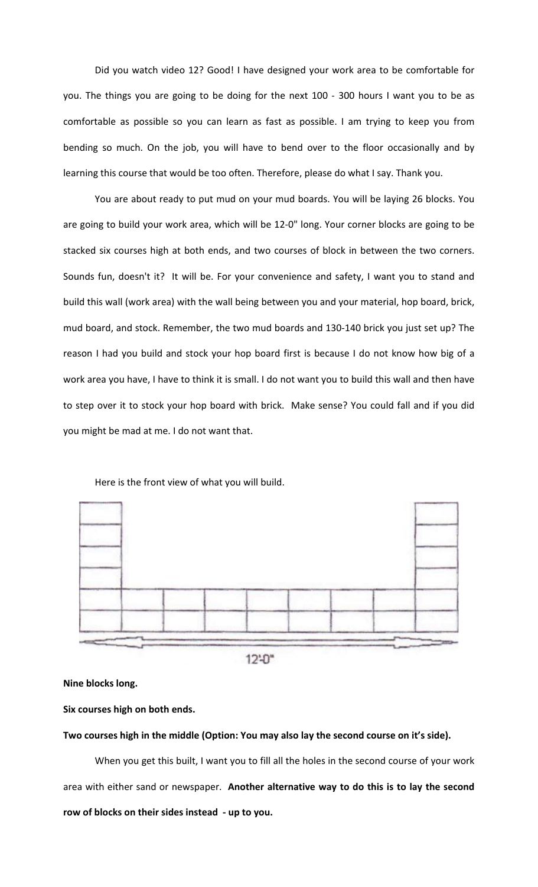Did you watch video 12? Good! I have designed your work area to be comfortable for you. The things you are going to be doing for the next 100 - 300 hours I want you to be as comfortable as possible so you can learn as fast as possible. I am trying to keep you from bending so much. On the job, you will have to bend over to the floor occasionally and by learning this course that would be too often. Therefore, please do what I say. Thank you.

You are about ready to put mud on your mud boards. You will be laying 26 blocks. You are going to build your work area, which will be 12-0" long. Your corner blocks are going to be stacked six courses high at both ends, and two courses of block in between the two corners. Sounds fun, doesn't it? It will be. For your convenience and safety, I want you to stand and build this wall (work area) with the wall being between you and your material, hop board, brick, mud board, and stock. Remember, the two mud boards and 130-140 brick you just set up? The reason I had you build and stock your hop board first is because I do not know how big of a work area you have, I have to think it is small. I do not want you to build this wall and then have to step over it to stock your hop board with brick. Make sense? You could fall and if you did you might be mad at me. I do not want that.



Here is the front view of what you will build.

 $12:0"$ 

**Nine blocks long.**

## Six courses high on both ends.

Two courses high in the middle (Option: You may also lay the second course on it's side).

When you get this built, I want you to fill all the holes in the second course of your work area with either sand or newspaper. Another alternative way to do this is to lay the second row of blocks on their sides instead - up to you.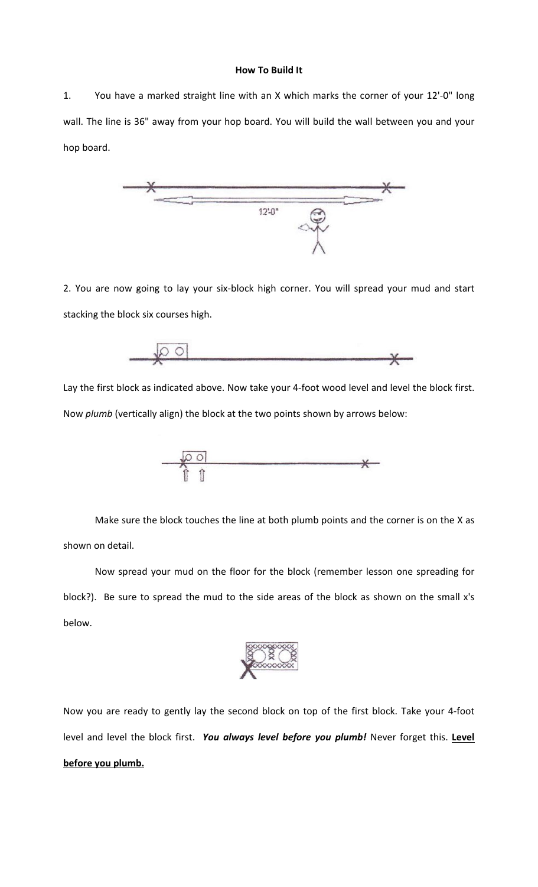#### **How To Build It**

1. You have a marked straight line with an X which marks the corner of your 12'-0" long wall. The line is 36" away from your hop board. You will build the wall between you and your hop board.



2. You are now going to lay your six-block high corner. You will spread your mud and start stacking the block six courses high.

 $\begin{array}{c|c} \multicolumn{3}{c|}{\bigcirc} & \multicolumn{3}{c|}{\bigcirc} \end{array}$ ⋇

Lay the first block as indicated above. Now take your 4-foot wood level and level the block first. Now *plumb* (vertically align) the block at the two points shown by arrows below:



Make sure the block touches the line at both plumb points and the corner is on the X as shown on detail.

Now spread your mud on the floor for the block (remember lesson one spreading for block?). Be sure to spread the mud to the side areas of the block as shown on the small x's below.



Now you are ready to gently lay the second block on top of the first block. Take your 4-foot level and level the block first. You always level before you plumb! Never forget this. Level before you plumb.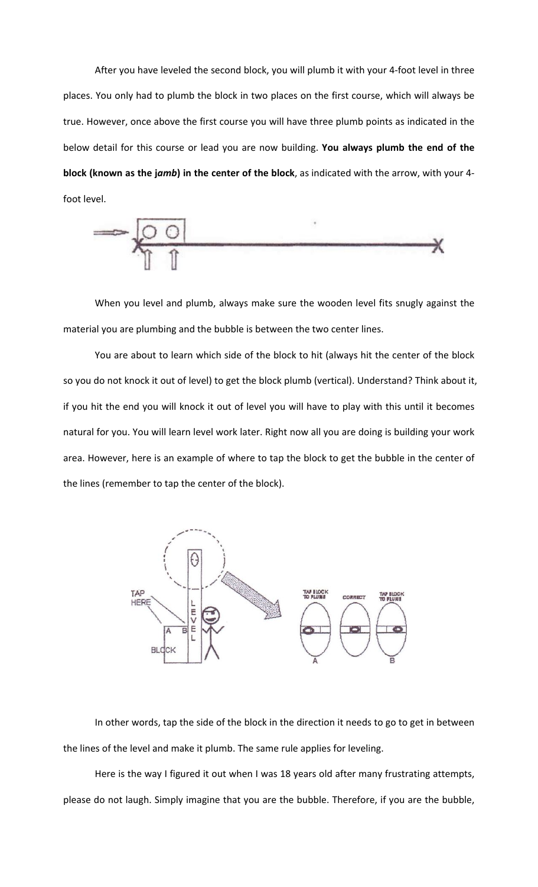After you have leveled the second block, you will plumb it with your 4-foot level in three places. You only had to plumb the block in two places on the first course, which will always be true. However, once above the first course you will have three plumb points as indicated in the below detail for this course or lead you are now building. You always plumb the end of the **block** (known as the jamb) in the center of the block, as indicated with the arrow, with your 4foot level.



When you level and plumb, always make sure the wooden level fits snugly against the material you are plumbing and the bubble is between the two center lines.

You are about to learn which side of the block to hit (always hit the center of the block so you do not knock it out of level) to get the block plumb (vertical). Understand? Think about it, if you hit the end you will knock it out of level you will have to play with this until it becomes natural for you. You will learn level work later. Right now all you are doing is building your work area. However, here is an example of where to tap the block to get the bubble in the center of the lines (remember to tap the center of the block).



In other words, tap the side of the block in the direction it needs to go to get in between the lines of the level and make it plumb. The same rule applies for leveling.

Here is the way I figured it out when I was 18 years old after many frustrating attempts, please do not laugh. Simply imagine that you are the bubble. Therefore, if you are the bubble,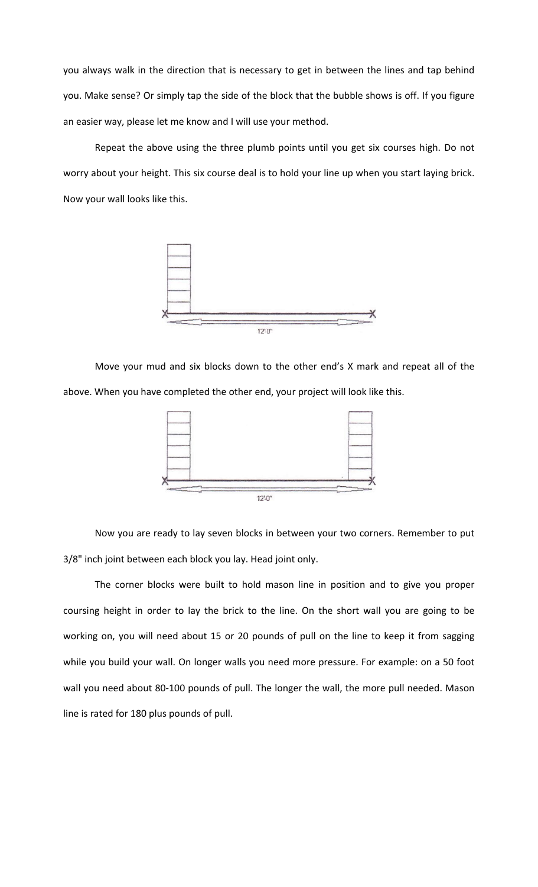you always walk in the direction that is necessary to get in between the lines and tap behind you. Make sense? Or simply tap the side of the block that the bubble shows is off. If you figure an easier way, please let me know and I will use your method.

Repeat the above using the three plumb points until you get six courses high. Do not worry about your height. This six course deal is to hold your line up when you start laying brick. Now your wall looks like this.



Move your mud and six blocks down to the other end's X mark and repeat all of the above. When you have completed the other end, your project will look like this.



Now you are ready to lay seven blocks in between your two corners. Remember to put 3/8" inch joint between each block you lay. Head joint only.

The corner blocks were built to hold mason line in position and to give you proper coursing height in order to lay the brick to the line. On the short wall you are going to be working on, you will need about 15 or 20 pounds of pull on the line to keep it from sagging while you build your wall. On longer walls you need more pressure. For example: on a 50 foot wall you need about 80-100 pounds of pull. The longer the wall, the more pull needed. Mason line is rated for 180 plus pounds of pull.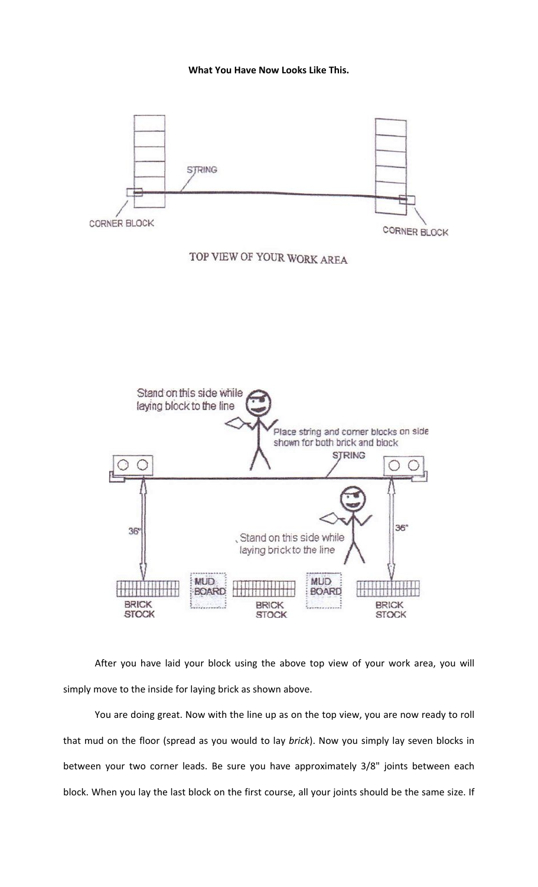

After you have laid your block using the above top view of your work area, you will simply move to the inside for laying brick as shown above.

You are doing great. Now with the line up as on the top view, you are now ready to roll that mud on the floor (spread as you would to lay *brick*). Now you simply lay seven blocks in between your two corner leads. Be sure you have approximately 3/8" joints between each block. When you lay the last block on the first course, all your joints should be the same size. If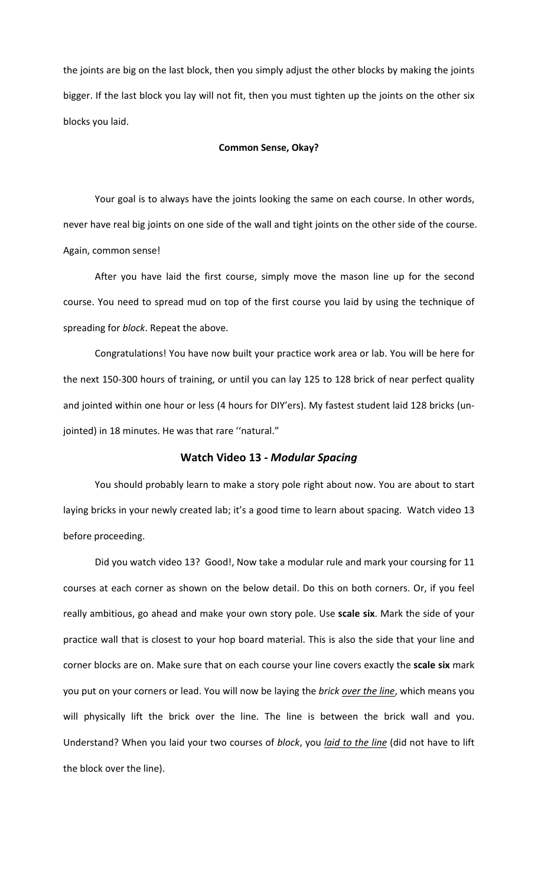the joints are big on the last block, then you simply adjust the other blocks by making the joints bigger. If the last block you lay will not fit, then you must tighten up the joints on the other six blocks you laid.

#### **Common Sense, Okay?**

Your goal is to always have the joints looking the same on each course. In other words, never have real big joints on one side of the wall and tight joints on the other side of the course. Again, common sense!

After you have laid the first course, simply move the mason line up for the second course. You need to spread mud on top of the first course you laid by using the technique of spreading for *block*. Repeat the above.

Congratulations! You have now built your practice work area or lab. You will be here for the next 150-300 hours of training, or until you can lay 125 to 128 brick of near perfect quality and jointed within one hour or less (4 hours for DIY'ers). My fastest student laid 128 bricks (unjointed) in 18 minutes. He was that rare "natural."

## **Watch Video 13 -** *Modular Spacing*

You should probably learn to make a story pole right about now. You are about to start laying bricks in your newly created lab; it's a good time to learn about spacing. Watch video 13 before proceeding.

Did you watch video 13? Good!, Now take a modular rule and mark your coursing for 11 courses at each corner as shown on the below detail. Do this on both corners. Or, if you feel really ambitious, go ahead and make your own story pole. Use scale six. Mark the side of your practice wall that is closest to your hop board material. This is also the side that your line and corner blocks are on. Make sure that on each course your line covers exactly the scale six mark you put on your corners or lead. You will now be laying the brick *over the line*, which means you will physically lift the brick over the line. The line is between the brick wall and you. Understand? When you laid your two courses of block, you *laid to the line* (did not have to lift the block over the line).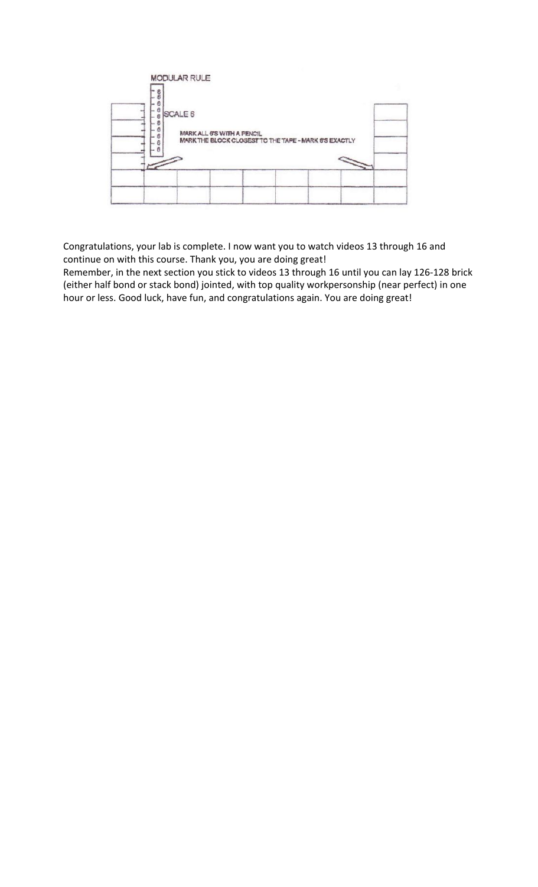| $\frac{8}{6}$<br>÷.                                           |                                                                                     |  |
|---------------------------------------------------------------|-------------------------------------------------------------------------------------|--|
| 6<br>$\frac{a}{6}$<br>SCALE 6<br>8<br>ß<br>8<br>$\frac{6}{6}$ | MARK ALL 6'S WITH A PENCIL<br>MARK THE BLOCK CLOSEST TO THE TAPE - MARK 6'S EXACTLY |  |
|                                                               |                                                                                     |  |
|                                                               |                                                                                     |  |

Congratulations, your lab is complete. I now want you to watch videos 13 through 16 and continue on with this course. Thank you, you are doing great!

Remember, in the next section you stick to videos 13 through 16 until you can lay 126-128 brick (either half bond or stack bond) jointed, with top quality workpersonship (near perfect) in one hour or less. Good luck, have fun, and congratulations again. You are doing great!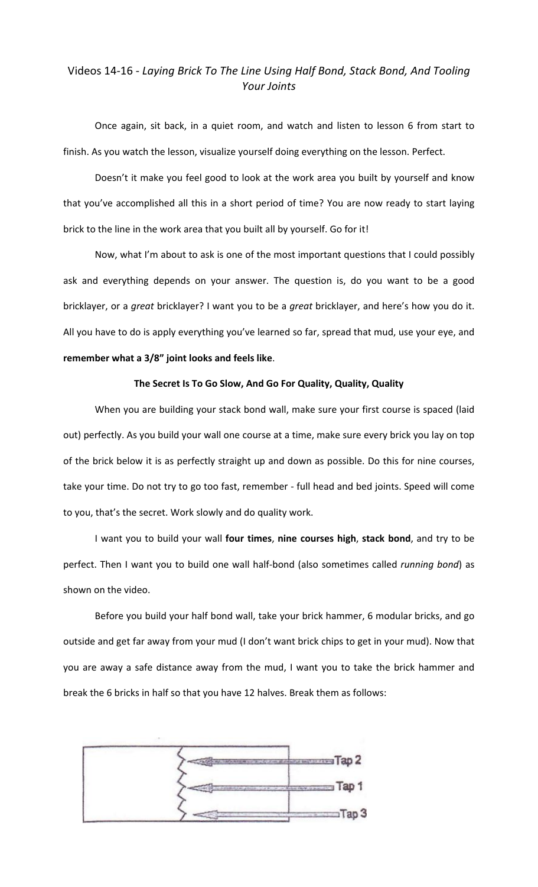# Videos 14-16 - Laying Brick To The Line Using Half Bond, Stack Bond, And Tooling *Your Joints*

Once again, sit back, in a quiet room, and watch and listen to lesson 6 from start to finish. As you watch the lesson, visualize yourself doing everything on the lesson. Perfect.

Doesn't it make you feel good to look at the work area you built by yourself and know that you've accomplished all this in a short period of time? You are now ready to start laying brick to the line in the work area that you built all by yourself. Go for it!

Now, what I'm about to ask is one of the most important questions that I could possibly ask and everything depends on your answer. The question is, do you want to be a good bricklayer, or a *great* bricklayer? I want you to be a *great* bricklayer, and here's how you do it. All you have to do is apply everything you've learned so far, spread that mud, use your eye, and remember what a 3/8" joint looks and feels like.

#### The Secret Is To Go Slow, And Go For Quality, Quality, Quality

When you are building your stack bond wall, make sure your first course is spaced (laid out) perfectly. As you build your wall one course at a time, make sure every brick you lay on top of the brick below it is as perfectly straight up and down as possible. Do this for nine courses, take your time. Do not try to go too fast, remember - full head and bed joints. Speed will come to you, that's the secret. Work slowly and do quality work.

I want you to build your wall four times, nine courses high, stack bond, and try to be perfect. Then I want you to build one wall half-bond (also sometimes called *running bond*) as shown on the video.

Before you build your half bond wall, take your brick hammer, 6 modular bricks, and go outside and get far away from your mud (I don't want brick chips to get in your mud). Now that you are away a safe distance away from the mud, I want you to take the brick hammer and break the 6 bricks in half so that you have 12 halves. Break them as follows:

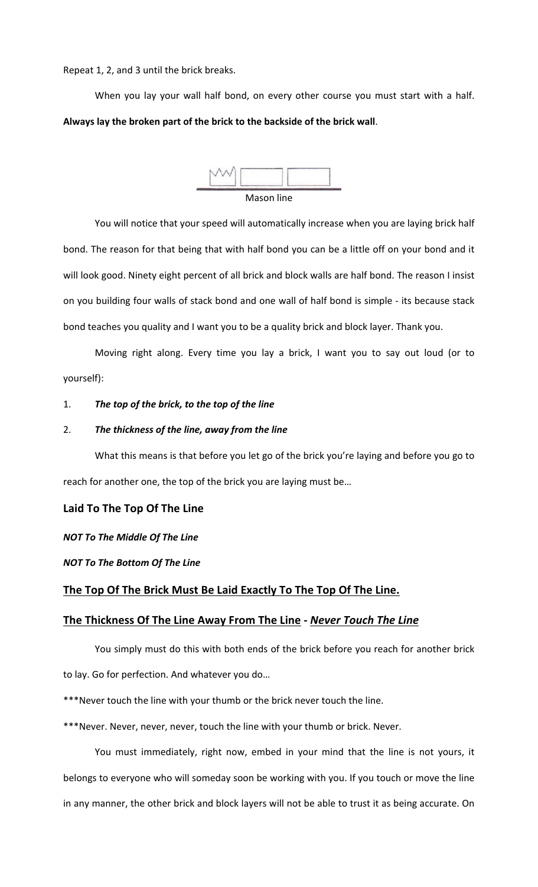Repeat 1, 2, and 3 until the brick breaks.

When you lay your wall half bond, on every other course you must start with a half. Always lay the broken part of the brick to the backside of the brick wall.



# You will notice that your speed will automatically increase when you are laying brick half bond. The reason for that being that with half bond you can be a little off on your bond and it will look good. Ninety eight percent of all brick and block walls are half bond. The reason I insist on you building four walls of stack bond and one wall of half bond is simple - its because stack bond teaches you quality and I want you to be a quality brick and block layer. Thank you.

Moving right along. Every time you lay a brick, I want you to say out loud (or to yourself):

## 1. The top of the brick, to the top of the line

## 2. The thickness of the line, away from the line

What this means is that before you let go of the brick you're laying and before you go to reach for another one, the top of the brick you are laying must be...

## Laid To The Top Of The Line

## *NOT To The Middle Of The Line*

## *NOT To The Bottom Of The Line*

## The Top Of The Brick Must Be Laid Exactly To The Top Of The Line.

## The Thickness Of The Line Away From The Line - Never Touch The Line

You simply must do this with both ends of the brick before you reach for another brick to lay. Go for perfection. And whatever you do...

\*\*\*Never touch the line with your thumb or the brick never touch the line.

\*\*\*Never. Never, never, never, touch the line with your thumb or brick. Never.

You must immediately, right now, embed in your mind that the line is not yours, it belongs to everyone who will someday soon be working with you. If you touch or move the line in any manner, the other brick and block layers will not be able to trust it as being accurate. On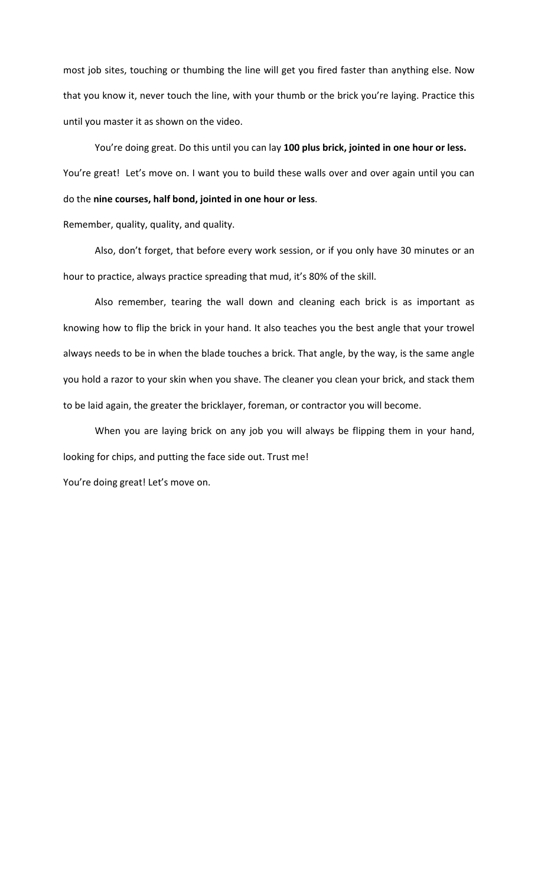most job sites, touching or thumbing the line will get you fired faster than anything else. Now that you know it, never touch the line, with your thumb or the brick you're laying. Practice this until you master it as shown on the video.

You're doing great. Do this until you can lay 100 plus brick, jointed in one hour or less. You're great! Let's move on. I want you to build these walls over and over again until you can do the nine courses, half bond, jointed in one hour or less.

Remember, quality, quality, and quality.

Also, don't forget, that before every work session, or if you only have 30 minutes or an hour to practice, always practice spreading that mud, it's 80% of the skill.

Also remember, tearing the wall down and cleaning each brick is as important as knowing how to flip the brick in your hand. It also teaches you the best angle that your trowel always needs to be in when the blade touches a brick. That angle, by the way, is the same angle you hold a razor to your skin when you shave. The cleaner you clean your brick, and stack them to be laid again, the greater the bricklayer, foreman, or contractor you will become.

When you are laying brick on any job you will always be flipping them in your hand, looking for chips, and putting the face side out. Trust me!

You're doing great! Let's move on.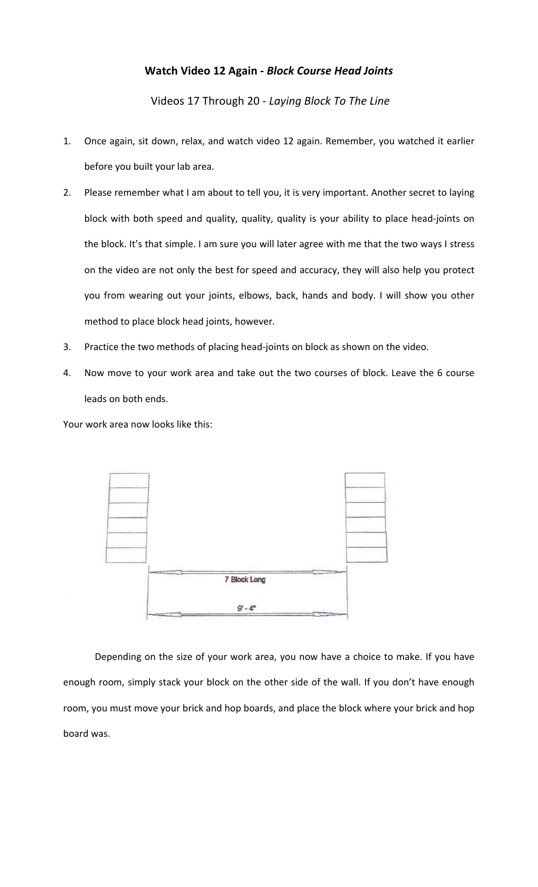# **Watch Video 12 Again -** *Block Course Head Joints*

Videos 17 Through 20 *- Laying Block To The Line*

- 1. Once again, sit down, relax, and watch video 12 again. Remember, you watched it earlier before you built your lab area.
- 2. Please remember what I am about to tell you, it is very important. Another secret to laying block with both speed and quality, quality, quality is your ability to place head-joints on the block. It's that simple. I am sure you will later agree with me that the two ways I stress on the video are not only the best for speed and accuracy, they will also help you protect you from wearing out your joints, elbows, back, hands and body. I will show you other method to place block head joints, however.
- 3. Practice the two methods of placing head-joints on block as shown on the video.
- 4. Now move to your work area and take out the two courses of block. Leave the 6 course leads on both ends.

Your work area now looks like this:



Depending on the size of your work area, you now have a choice to make. If you have enough room, simply stack your block on the other side of the wall. If you don't have enough room, you must move your brick and hop boards, and place the block where your brick and hop board was.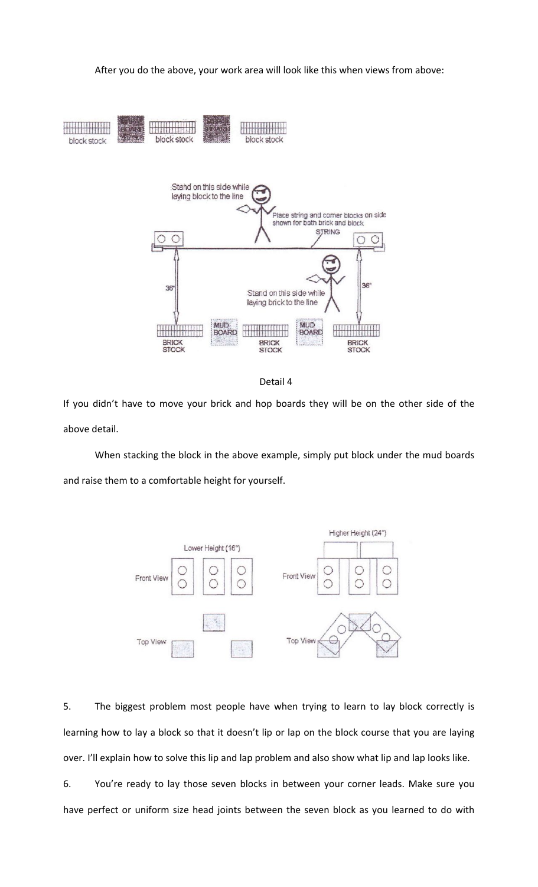After you do the above, your work area will look like this when views from above:



Detail 4

If you didn't have to move your brick and hop boards they will be on the other side of the above detail.

When stacking the block in the above example, simply put block under the mud boards and raise them to a comfortable height for yourself.



5. The biggest problem most people have when trying to learn to lay block correctly is learning how to lay a block so that it doesn't lip or lap on the block course that you are laying over. I'll explain how to solve this lip and lap problem and also show what lip and lap looks like.

6. You're ready to lay those seven blocks in between your corner leads. Make sure you have perfect or uniform size head joints between the seven block as you learned to do with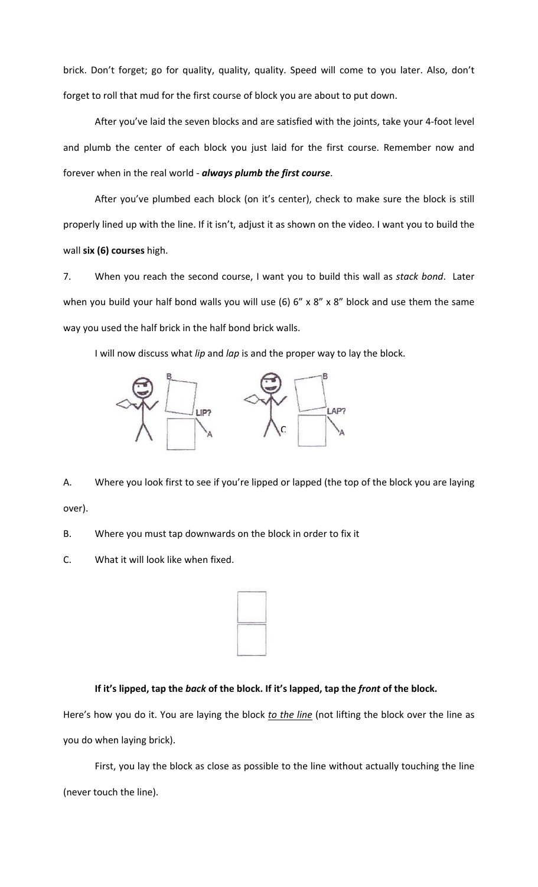brick. Don't forget; go for quality, quality, quality. Speed will come to you later. Also, don't forget to roll that mud for the first course of block you are about to put down.

After you've laid the seven blocks and are satisfied with the joints, take your 4-foot level and plumb the center of each block you just laid for the first course. Remember now and forever when in the real world - *always plumb the first course*.

After you've plumbed each block (on it's center), check to make sure the block is still properly lined up with the line. If it isn't, adjust it as shown on the video. I want you to build the wall **six (6) courses** high.

7. When you reach the second course, I want you to build this wall as *stack bond*. Later when you build your half bond walls you will use (6)  $6''$  x  $8''$  x  $8''$  block and use them the same way you used the half brick in the half bond brick walls.

I will now discuss what *lip* and *lap* is and the proper way to lay the block.



A. Where you look first to see if you're lipped or lapped (the top of the block you are laying over).

B. Where you must tap downwards on the block in order to fix it

C. What it will look like when fixed.

|  | × |
|--|---|
|  |   |
|  |   |
|  |   |
|  |   |
|  |   |

# If it's lipped, tap the *back* of the block. If it's lapped, tap the *front* of the block.

Here's how you do it. You are laying the block to the line (not lifting the block over the line as you do when laying brick).

First, you lay the block as close as possible to the line without actually touching the line (never touch the line).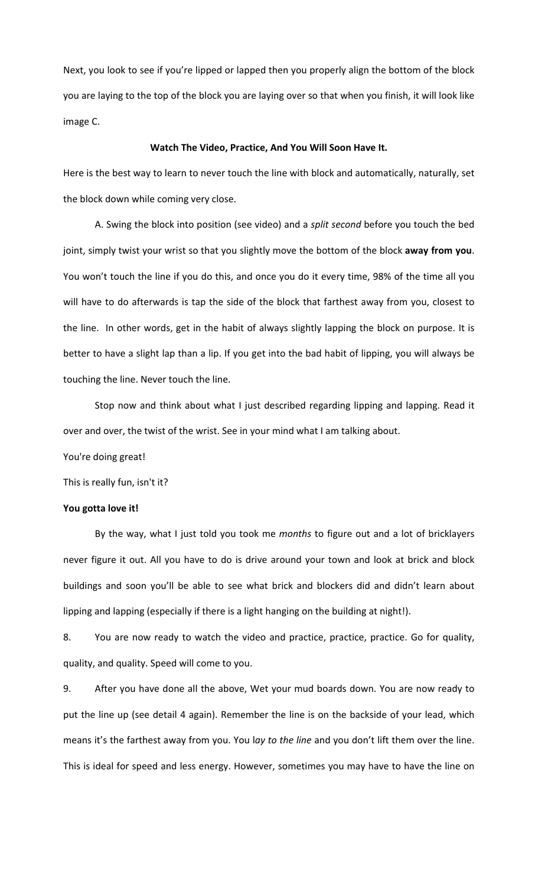Next, you look to see if you're lipped or lapped then you properly align the bottom of the block you are laying to the top of the block you are laying over so that when you finish, it will look like image C.

#### Watch The Video, Practice, And You Will Soon Have It.

Here is the best way to learn to never touch the line with block and automatically, naturally, set the block down while coming very close.

A. Swing the block into position (see video) and a *split second* before you touch the bed joint, simply twist your wrist so that you slightly move the bottom of the block **away from you**. You won't touch the line if you do this, and once you do it every time, 98% of the time all you will have to do afterwards is tap the side of the block that farthest away from you, closest to the line. In other words, get in the habit of always slightly lapping the block on purpose. It is better to have a slight lap than a lip. If you get into the bad habit of lipping, you will always be touching the line. Never touch the line.

Stop now and think about what I just described regarding lipping and lapping. Read it over and over, the twist of the wrist. See in your mind what I am talking about.

You're doing great!

This is really fun, isn't it?

#### You gotta love it!

By the way, what I just told you took me months to figure out and a lot of bricklayers never figure it out. All you have to do is drive around your town and look at brick and block buildings and soon you'll be able to see what brick and blockers did and didn't learn about lipping and lapping (especially if there is a light hanging on the building at night!).

8. You are now ready to watch the video and practice, practice, practice. Go for quality, quality, and quality. Speed will come to you.

9. After you have done all the above, Wet your mud boards down. You are now ready to put the line up (see detail 4 again). Remember the line is on the backside of your lead, which means it's the farthest away from you. You lay to the line and you don't lift them over the line. This is ideal for speed and less energy. However, sometimes you may have to have the line on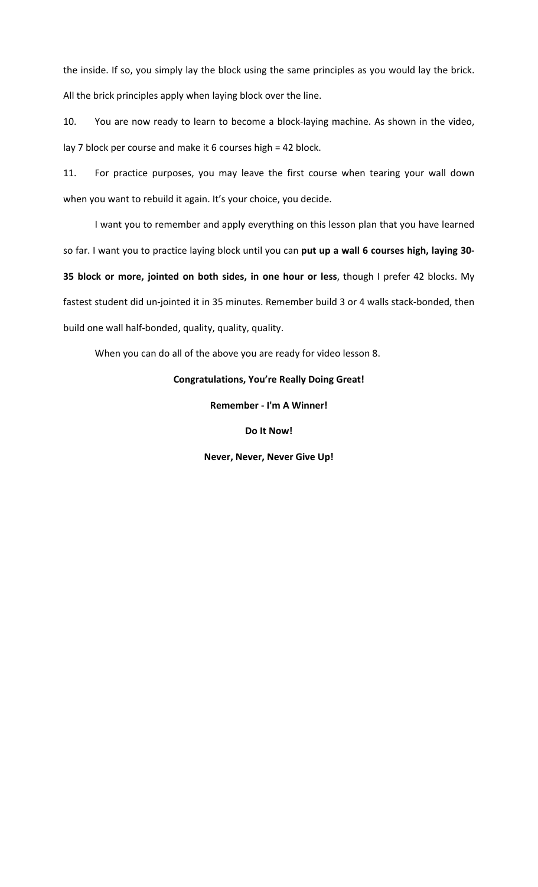the inside. If so, you simply lay the block using the same principles as you would lay the brick. All the brick principles apply when laying block over the line.

10. You are now ready to learn to become a block-laying machine. As shown in the video, lay 7 block per course and make it 6 courses high =  $42$  block.

11. For practice purposes, you may leave the first course when tearing your wall down when you want to rebuild it again. It's your choice, you decide.

I want you to remember and apply everything on this lesson plan that you have learned so far. I want you to practice laying block until you can put up a wall 6 courses high, laying 30-**35 block or more, jointed on both sides, in one hour or less, though I prefer 42 blocks. My** fastest student did un-jointed it in 35 minutes. Remember build 3 or 4 walls stack-bonded, then build one wall half-bonded, quality, quality, quality.

When you can do all of the above you are ready for video lesson 8.

## **Congratulations, You're Really Doing Great!**

**Remember - I'm A Winner!**

**Do It Now!**

**Never, Never, Never Give Up!**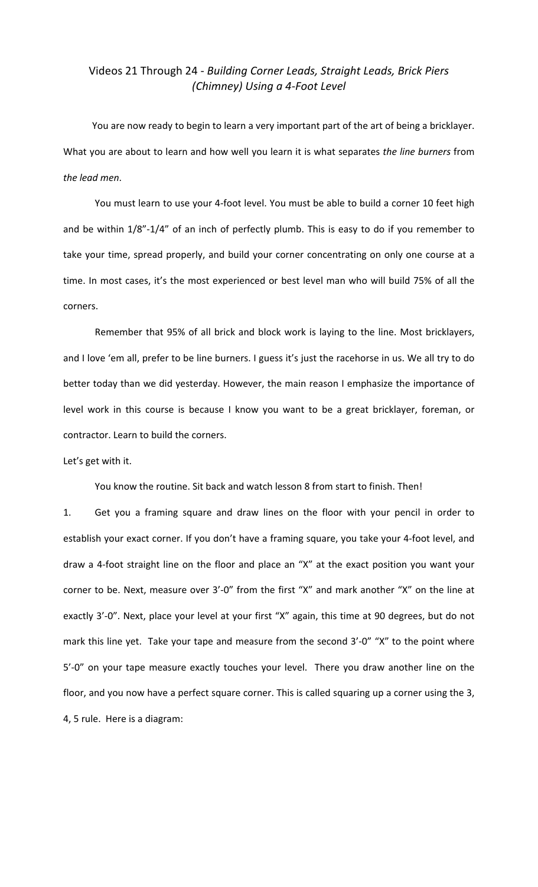# Videos 21 Through 24 - *Building Corner Leads, Straight Leads, Brick Piers (Chimney) Using a 4-Foot Level*

You are now ready to begin to learn a very important part of the art of being a bricklayer. What you are about to learn and how well you learn it is what separates the line burners from *the lead men*.

You must learn to use your 4-foot level. You must be able to build a corner 10 feet high and be within 1/8"-1/4" of an inch of perfectly plumb. This is easy to do if you remember to take your time, spread properly, and build your corner concentrating on only one course at a time. In most cases, it's the most experienced or best level man who will build 75% of all the corners.

Remember that 95% of all brick and block work is laying to the line. Most bricklayers, and I love 'em all, prefer to be line burners. I guess it's just the racehorse in us. We all try to do better today than we did yesterday. However, the main reason I emphasize the importance of level work in this course is because I know you want to be a great bricklayer, foreman, or contractor. Learn to build the corners.

Let's get with it.

You know the routine. Sit back and watch lesson 8 from start to finish. Then!

1. Get you a framing square and draw lines on the floor with your pencil in order to establish your exact corner. If you don't have a framing square, you take your 4-foot level, and draw a 4-foot straight line on the floor and place an "X" at the exact position you want your corner to be. Next, measure over 3'-0" from the first "X" and mark another "X" on the line at exactly 3'-0". Next, place your level at your first "X" again, this time at 90 degrees, but do not mark this line yet. Take your tape and measure from the second 3'-0" "X" to the point where 5'-0" on your tape measure exactly touches your level. There you draw another line on the floor, and you now have a perfect square corner. This is called squaring up a corner using the 3, 4, 5 rule. Here is a diagram: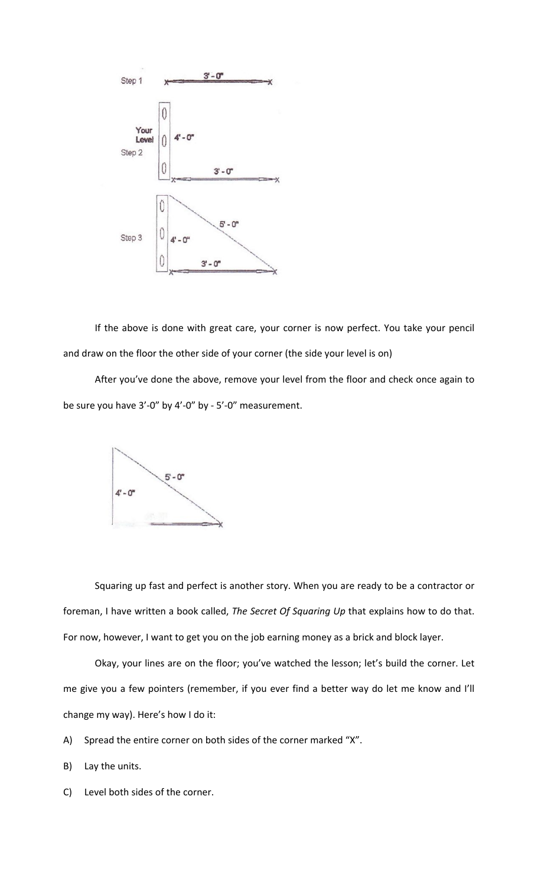

If the above is done with great care, your corner is now perfect. You take your pencil and draw on the floor the other side of your corner (the side your level is on)

After you've done the above, remove your level from the floor and check once again to be sure you have  $3'$ -0" by  $4'$ -0" by -  $5'$ -0" measurement.



Squaring up fast and perfect is another story. When you are ready to be a contractor or foreman, I have written a book called, *The Secret Of Squaring Up* that explains how to do that. For now, however, I want to get you on the job earning money as a brick and block layer.

Okay, your lines are on the floor; you've watched the lesson; let's build the corner. Let me give you a few pointers (remember, if you ever find a better way do let me know and I'll change my way). Here's how I do it:

- A) Spread the entire corner on both sides of the corner marked "X".
- B) Lay the units.
- C) Level both sides of the corner.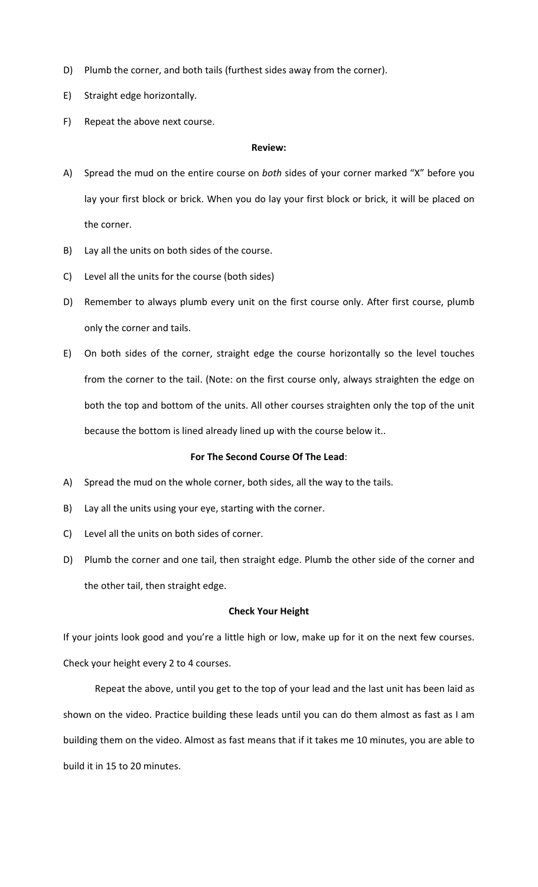- D) Plumb the corner, and both tails (furthest sides away from the corner).
- E) Straight edge horizontally.
- F) Repeat the above next course.

#### **Review:**

- A) Spread the mud on the entire course on *both* sides of your corner marked "X" before you lay your first block or brick. When you do lay your first block or brick, it will be placed on the corner.
- B) Lay all the units on both sides of the course.
- C) Level all the units for the course (both sides)
- D) Remember to always plumb every unit on the first course only. After first course, plumb only the corner and tails.
- E) On both sides of the corner, straight edge the course horizontally so the level touches from the corner to the tail. (Note: on the first course only, always straighten the edge on both the top and bottom of the units. All other courses straighten only the top of the unit because the bottom is lined already lined up with the course below it..

## For The Second Course Of The Lead:

- A) Spread the mud on the whole corner, both sides, all the way to the tails.
- B) Lay all the units using your eye, starting with the corner.
- C) Level all the units on both sides of corner.
- D) Plumb the corner and one tail, then straight edge. Plumb the other side of the corner and the other tail, then straight edge.

## **Check Your Height**

If your joints look good and you're a little high or low, make up for it on the next few courses. Check your height every 2 to 4 courses.

Repeat the above, until you get to the top of your lead and the last unit has been laid as shown on the video. Practice building these leads until you can do them almost as fast as I am building them on the video. Almost as fast means that if it takes me 10 minutes, you are able to build it in 15 to 20 minutes.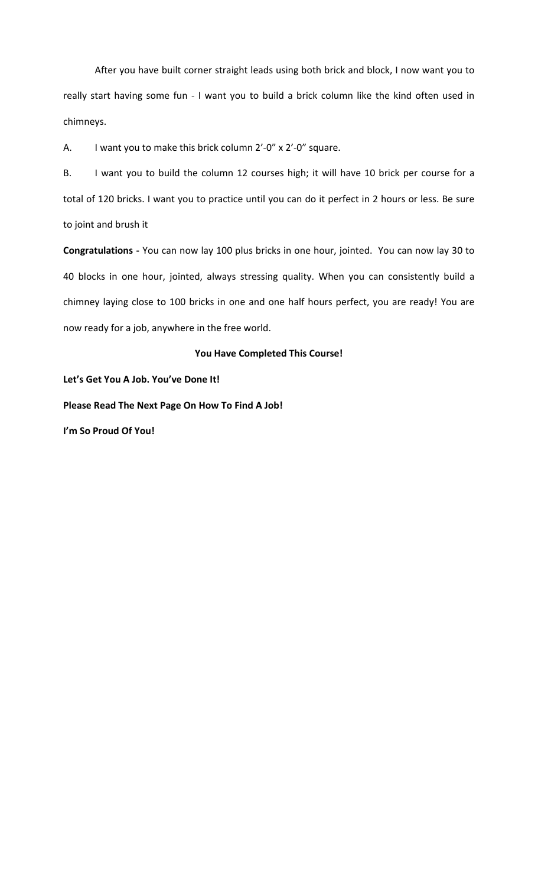After you have built corner straight leads using both brick and block, I now want you to really start having some fun - I want you to build a brick column like the kind often used in chimneys.

A. I want you to make this brick column  $2'-0'' \times 2'-0''$  square.

B. I want you to build the column 12 courses high; it will have 10 brick per course for a total of 120 bricks. I want you to practice until you can do it perfect in 2 hours or less. Be sure to joint and brush it

Congratulations - You can now lay 100 plus bricks in one hour, jointed. You can now lay 30 to 40 blocks in one hour, jointed, always stressing quality. When you can consistently build a chimney laying close to 100 bricks in one and one half hours perfect, you are ready! You are now ready for a job, anywhere in the free world.

## You Have Completed This Course!

Let's Get You A Job. You've Done It!

**Please Read The Next Page On How To Find A Job!** 

**I'm So Proud Of You!**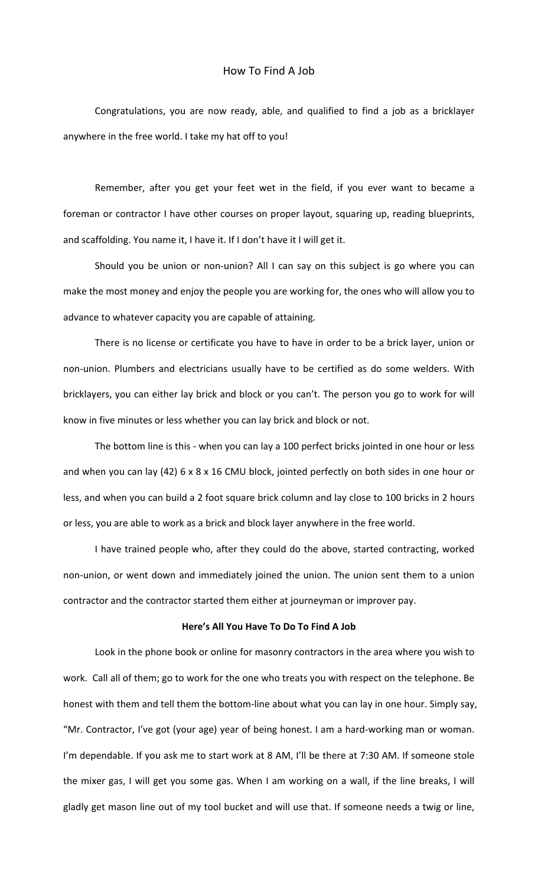## How To Find A Job

Congratulations, you are now ready, able, and qualified to find a job as a bricklayer anywhere in the free world. I take my hat off to you!

Remember, after you get your feet wet in the field, if you ever want to became a foreman or contractor I have other courses on proper layout, squaring up, reading blueprints, and scaffolding. You name it, I have it. If I don't have it I will get it.

Should you be union or non-union? All I can say on this subject is go where you can make the most money and enjoy the people you are working for, the ones who will allow you to advance to whatever capacity you are capable of attaining.

There is no license or certificate you have to have in order to be a brick layer, union or non-union. Plumbers and electricians usually have to be certified as do some welders. With bricklayers, you can either lay brick and block or you can't. The person you go to work for will know in five minutes or less whether you can lay brick and block or not.

The bottom line is this - when you can lay a 100 perfect bricks jointed in one hour or less and when you can lay (42) 6 x 8 x 16 CMU block, jointed perfectly on both sides in one hour or less, and when you can build a 2 foot square brick column and lay close to 100 bricks in 2 hours or less, you are able to work as a brick and block layer anywhere in the free world.

I have trained people who, after they could do the above, started contracting, worked non-union, or went down and immediately joined the union. The union sent them to a union contractor and the contractor started them either at journeyman or improver pay.

### Here's All You Have To Do To Find A Job

Look in the phone book or online for masonry contractors in the area where you wish to work. Call all of them; go to work for the one who treats you with respect on the telephone. Be honest with them and tell them the bottom-line about what you can lay in one hour. Simply say, "Mr. Contractor, I've got (your age) year of being honest. I am a hard-working man or woman. I'm dependable. If you ask me to start work at 8 AM, I'll be there at 7:30 AM. If someone stole the mixer gas, I will get you some gas. When I am working on a wall, if the line breaks, I will gladly get mason line out of my tool bucket and will use that. If someone needs a twig or line,